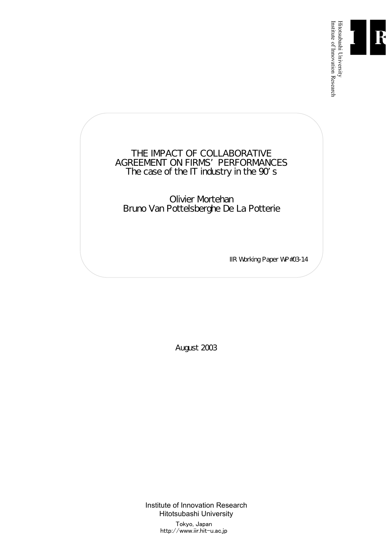

Institute of Innovation Research

THE IMPACT OF COLLABORATIVE AGREEMENT ON FIRMS' PERFORMANCES The case of the IT industry in the 90's

Olivier Mortehan Bruno Van Pottelsberghe De La Potterie

IIR Working Paper WP#03-14

August 2003

Institute of Innovation Research Hitotsubashi University Tokyo, Japan

http://www.iir.hit-u.ac.jp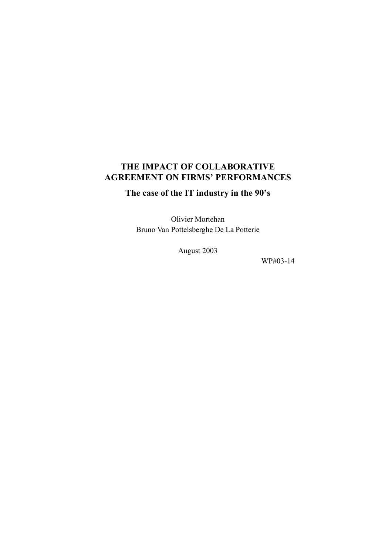## **THE IMPACT OF COLLABORATIVE AGREEMENT ON FIRMS' PERFORMANCES**

# **The case of the IT industry in the 90's**

Olivier Mortehan Bruno Van Pottelsberghe De La Potterie

August 2003

WP#03-14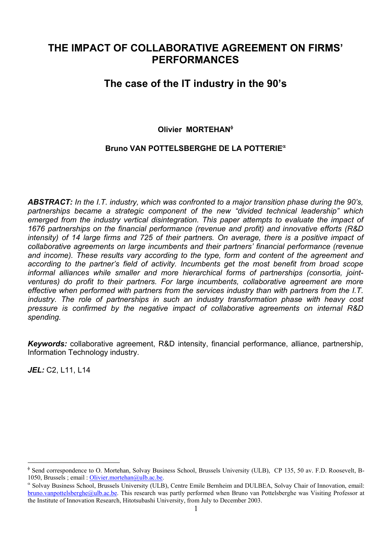## **THE IMPACT OF COLLABORATIVE AGREEMENT ON FIRMS' PERFORMANCES**

## **The case of the IT industry in the 90's**

**Olivier MORTEHAN<sup>¢</sup>** 

### **Bruno VAN POTTELSBERGHE DE LA POTTERIE**<sup>α</sup>

*ABSTRACT: In the I.T. industry, which was confronted to a major transition phase during the 90's, partnerships became a strategic component of the new "divided technical leadership" which emerged from the industry vertical disintegration. This paper attempts to evaluate the impact of 1676 partnerships on the financial performance (revenue and profit) and innovative efforts (R&D*  intensity) of 14 large firms and 725 of their partners. On average, there is a positive impact of *collaborative agreements on large incumbents and their partners' financial performance (revenue and income). These results vary according to the type, form and content of the agreement and according to the partner's field of activity. Incumbents get the most benefit from broad scope informal alliances while smaller and more hierarchical forms of partnerships (consortia, jointventures) do profit to their partners. For large incumbents, collaborative agreement are more effective when performed with partners from the services industry than with partners from the I.T. industry. The role of partnerships in such an industry transformation phase with heavy cost pressure is confirmed by the negative impact of collaborative agreements on internal R&D spending.*

*Keywords:* collaborative agreement, R&D intensity, financial performance, alliance, partnership, Information Technology industry.

*JEL:* C2, L11, L14

φ Send correspondence to O. Mortehan, Solvay Business School, Brussels University (ULB), CP 135, 50 av. F.D. Roosevelt, B-1050, Brussels ; email : Olivier.mortehan@ulb.ac.be.

α Solvay Business School, Brussels University (ULB), Centre Emile Bernheim and DULBEA, Solvay Chair of Innovation, email: bruno.vanpottelsberghe@ulb.ac.be. This research was partly performed when Bruno van Pottelsberghe was Visiting Professor at the Institute of Innovation Research, Hitotsubashi University, from July to December 2003.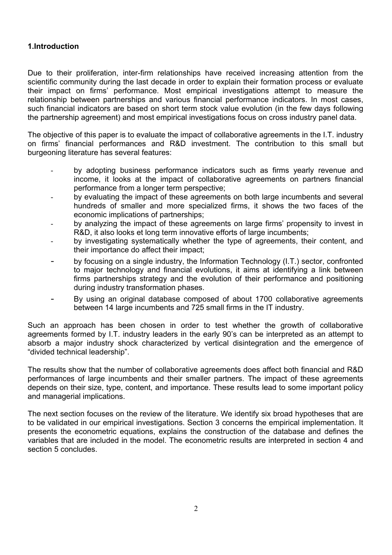### **1.Introduction**

Due to their proliferation, inter-firm relationships have received increasing attention from the scientific community during the last decade in order to explain their formation process or evaluate their impact on firms' performance. Most empirical investigations attempt to measure the relationship between partnerships and various financial performance indicators. In most cases, such financial indicators are based on short term stock value evolution (in the few days following the partnership agreement) and most empirical investigations focus on cross industry panel data.

The objective of this paper is to evaluate the impact of collaborative agreements in the I.T. industry on firms' financial performances and R&D investment. The contribution to this small but burgeoning literature has several features:

- by adopting business performance indicators such as firms yearly revenue and income, it looks at the impact of collaborative agreements on partners financial performance from a longer term perspective;
- by evaluating the impact of these agreements on both large incumbents and several hundreds of smaller and more specialized firms, it shows the two faces of the economic implications of partnerships;
- by analyzing the impact of these agreements on large firms' propensity to invest in R&D, it also looks et long term innovative efforts of large incumbents;
- by investigating systematically whether the type of agreements, their content, and their importance do affect their impact;
- by focusing on a single industry, the Information Technology (I.T.) sector, confronted to major technology and financial evolutions, it aims at identifying a link between firms partnerships strategy and the evolution of their performance and positioning during industry transformation phases.
- By using an original database composed of about 1700 collaborative agreements between 14 large incumbents and 725 small firms in the IT industry.

Such an approach has been chosen in order to test whether the growth of collaborative agreements formed by I.T. industry leaders in the early 90's can be interpreted as an attempt to absorb a major industry shock characterized by vertical disintegration and the emergence of "divided technical leadership".

The results show that the number of collaborative agreements does affect both financial and R&D performances of large incumbents and their smaller partners. The impact of these agreements depends on their size, type, content, and importance. These results lead to some important policy and managerial implications.

The next section focuses on the review of the literature. We identify six broad hypotheses that are to be validated in our empirical investigations. Section 3 concerns the empirical implementation. It presents the econometric equations, explains the construction of the database and defines the variables that are included in the model. The econometric results are interpreted in section 4 and section 5 concludes.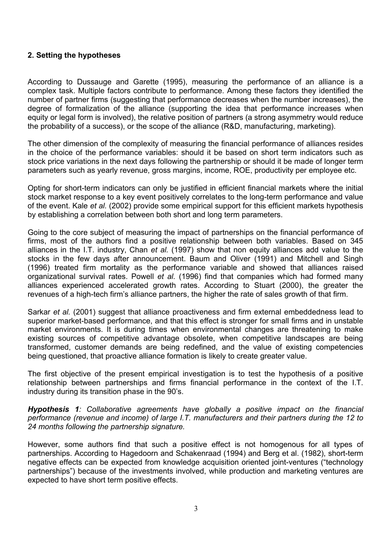#### **2. Setting the hypotheses**

According to Dussauge and Garette (1995), measuring the performance of an alliance is a complex task. Multiple factors contribute to performance. Among these factors they identified the number of partner firms (suggesting that performance decreases when the number increases), the degree of formalization of the alliance (supporting the idea that performance increases when equity or legal form is involved), the relative position of partners (a strong asymmetry would reduce the probability of a success), or the scope of the alliance (R&D, manufacturing, marketing).

The other dimension of the complexity of measuring the financial performance of alliances resides in the choice of the performance variables: should it be based on short term indicators such as stock price variations in the next days following the partnership or should it be made of longer term parameters such as yearly revenue, gross margins, income, ROE, productivity per employee etc.

Opting for short-term indicators can only be justified in efficient financial markets where the initial stock market response to a key event positively correlates to the long-term performance and value of the event. Kale *et al.* (2002) provide some empirical support for this efficient markets hypothesis by establishing a correlation between both short and long term parameters.

Going to the core subject of measuring the impact of partnerships on the financial performance of firms, most of the authors find a positive relationship between both variables. Based on 345 alliances in the I.T. industry, Chan *et al.* (1997) show that non equity alliances add value to the stocks in the few days after announcement. Baum and Oliver (1991) and Mitchell and Singh (1996) treated firm mortality as the performance variable and showed that alliances raised organizational survival rates. Powell *et al.* (1996) find that companies which had formed many alliances experienced accelerated growth rates. According to Stuart (2000), the greater the revenues of a high-tech firm's alliance partners, the higher the rate of sales growth of that firm.

Sarkar *et al.* (2001) suggest that alliance proactiveness and firm external embeddedness lead to superior market-based performance, and that this effect is stronger for small firms and in unstable market environments. It is during times when environmental changes are threatening to make existing sources of competitive advantage obsolete, when competitive landscapes are being transformed, customer demands are being redefined, and the value of existing competencies being questioned, that proactive alliance formation is likely to create greater value.

The first objective of the present empirical investigation is to test the hypothesis of a positive relationship between partnerships and firms financial performance in the context of the I.T. industry during its transition phase in the 90's.

*Hypothesis 1: Collaborative agreements have globally a positive impact on the financial performance (revenue and income) of large I.T. manufacturers and their partners during the 12 to 24 months following the partnership signature.* 

However, some authors find that such a positive effect is not homogenous for all types of partnerships. According to Hagedoorn and Schakenraad (1994) and Berg et al. (1982), short-term negative effects can be expected from knowledge acquisition oriented joint-ventures ("technology partnerships") because of the investments involved, while production and marketing ventures are expected to have short term positive effects.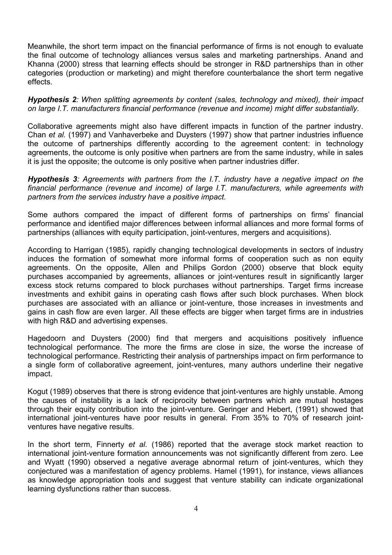Meanwhile, the short term impact on the financial performance of firms is not enough to evaluate the final outcome of technology alliances versus sales and marketing partnerships. Anand and Khanna (2000) stress that learning effects should be stronger in R&D partnerships than in other categories (production or marketing) and might therefore counterbalance the short term negative effects.

*Hypothesis 2: When splitting agreements by content (sales, technology and mixed), their impact on large I.T. manufacturers financial performance (revenue and income) might differ substantially.* 

Collaborative agreements might also have different impacts in function of the partner industry. Chan *et al.* (1997) and Vanhaverbeke and Duysters (1997) show that partner industries influence the outcome of partnerships differently according to the agreement content: in technology agreements, the outcome is only positive when partners are from the same industry, while in sales it is just the opposite; the outcome is only positive when partner industries differ.

*Hypothesis 3: Agreements with partners from the I.T. industry have a negative impact on the financial performance (revenue and income) of large I.T. manufacturers, while agreements with partners from the services industry have a positive impact.* 

Some authors compared the impact of different forms of partnerships on firms' financial performance and identified major differences between informal alliances and more formal forms of partnerships (alliances with equity participation, joint-ventures, mergers and acquisitions).

According to Harrigan (1985), rapidly changing technological developments in sectors of industry induces the formation of somewhat more informal forms of cooperation such as non equity agreements. On the opposite, Allen and Philips Gordon (2000) observe that block equity purchases accompanied by agreements, alliances or joint-ventures result in significantly larger excess stock returns compared to block purchases without partnerships. Target firms increase investments and exhibit gains in operating cash flows after such block purchases. When block purchases are associated with an alliance or joint-venture, those increases in investments and gains in cash flow are even larger. All these effects are bigger when target firms are in industries with high R&D and advertising expenses.

Hagedoorn and Duysters (2000) find that mergers and acquisitions positively influence technological performance. The more the firms are close in size, the worse the increase of technological performance. Restricting their analysis of partnerships impact on firm performance to a single form of collaborative agreement, joint-ventures, many authors underline their negative impact.

Kogut (1989) observes that there is strong evidence that joint-ventures are highly unstable. Among the causes of instability is a lack of reciprocity between partners which are mutual hostages through their equity contribution into the joint-venture. Geringer and Hebert, (1991) showed that international joint-ventures have poor results in general. From 35% to 70% of research jointventures have negative results.

In the short term, Finnerty *et al.* (1986) reported that the average stock market reaction to international joint-venture formation announcements was not significantly different from zero. Lee and Wyatt (1990) observed a negative average abnormal return of joint-ventures, which they conjectured was a manifestation of agency problems. Hamel (1991), for instance, views alliances as knowledge appropriation tools and suggest that venture stability can indicate organizational learning dysfunctions rather than success.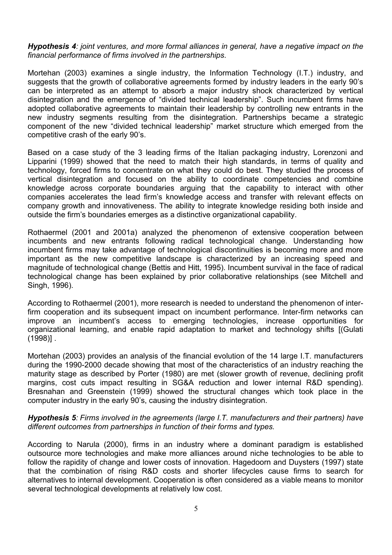#### *Hypothesis 4: joint ventures, and more formal alliances in general, have a negative impact on the financial performance of firms involved in the partnerships.*

Mortehan (2003) examines a single industry, the Information Technology (I.T.) industry, and suggests that the growth of collaborative agreements formed by industry leaders in the early 90's can be interpreted as an attempt to absorb a major industry shock characterized by vertical disintegration and the emergence of "divided technical leadership". Such incumbent firms have adopted collaborative agreements to maintain their leadership by controlling new entrants in the new industry segments resulting from the disintegration. Partnerships became a strategic component of the new "divided technical leadership" market structure which emerged from the competitive crash of the early 90's.

Based on a case study of the 3 leading firms of the Italian packaging industry, Lorenzoni and Lipparini (1999) showed that the need to match their high standards, in terms of quality and technology, forced firms to concentrate on what they could do best. They studied the process of vertical disintegration and focused on the ability to coordinate competencies and combine knowledge across corporate boundaries arguing that the capability to interact with other companies accelerates the lead firm's knowledge access and transfer with relevant effects on company growth and innovativeness. The ability to integrate knowledge residing both inside and outside the firm's boundaries emerges as a distinctive organizational capability.

Rothaermel (2001 and 2001a) analyzed the phenomenon of extensive cooperation between incumbents and new entrants following radical technological change. Understanding how incumbent firms may take advantage of technological discontinuities is becoming more and more important as the new competitive landscape is characterized by an increasing speed and magnitude of technological change (Bettis and Hitt, 1995). Incumbent survival in the face of radical technological change has been explained by prior collaborative relationships (see Mitchell and Singh, 1996).

According to Rothaermel (2001), more research is needed to understand the phenomenon of interfirm cooperation and its subsequent impact on incumbent performance. Inter-firm networks can improve an incumbent's access to emerging technologies, increase opportunities for organizational learning, and enable rapid adaptation to market and technology shifts [(Gulati (1998)] .

Mortehan (2003) provides an analysis of the financial evolution of the 14 large I.T. manufacturers during the 1990-2000 decade showing that most of the characteristics of an industry reaching the maturity stage as described by Porter (1980) are met (slower growth of revenue, declining profit margins, cost cuts impact resulting in SG&A reduction and lower internal R&D spending). Bresnahan and Greenstein (1999) showed the structural changes which took place in the computer industry in the early 90's, causing the industry disintegration.

#### *Hypothesis 5: Firms involved in the agreements (large I.T. manufacturers and their partners) have different outcomes from partnerships in function of their forms and types.*

According to Narula (2000), firms in an industry where a dominant paradigm is established outsource more technologies and make more alliances around niche technologies to be able to follow the rapidity of change and lower costs of innovation. Hagedoorn and Duysters (1997) state that the combination of rising R&D costs and shorter lifecycles cause firms to search for alternatives to internal development. Cooperation is often considered as a viable means to monitor several technological developments at relatively low cost.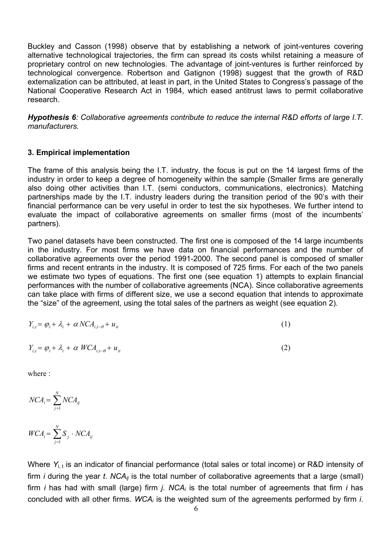Buckley and Casson (1998) observe that by establishing a network of joint-ventures covering alternative technological trajectories, the firm can spread its costs whilst retaining a measure of proprietary control on new technologies. The advantage of joint-ventures is further reinforced by technological convergence. Robertson and Gatignon (1998) suggest that the growth of R&D externalization can be attributed, at least in part, in the United States to Congress's passage of the National Cooperative Research Act in 1984, which eased antitrust laws to permit collaborative research.

*Hypothesis 6: Collaborative agreements contribute to reduce the internal R&D efforts of large I.T. manufacturers.* 

#### **3. Empirical implementation**

The frame of this analysis being the I.T. industry, the focus is put on the 14 largest firms of the industry in order to keep a degree of homogeneity within the sample (Smaller firms are generally also doing other activities than I.T. (semi conductors, communications, electronics). Matching partnerships made by the I.T. industry leaders during the transition period of the 90's with their financial performance can be very useful in order to test the six hypotheses. We further intend to evaluate the impact of collaborative agreements on smaller firms (most of the incumbents' partners).

Two panel datasets have been constructed. The first one is composed of the 14 large incumbents in the industry. For most firms we have data on financial performances and the number of collaborative agreements over the period 1991-2000. The second panel is composed of smaller firms and recent entrants in the industry. It is composed of 725 firms. For each of the two panels we estimate two types of equations. The first one (see equation 1) attempts to explain financial performances with the number of collaborative agreements (NCA). Since collaborative agreements can take place with firms of different size, we use a second equation that intends to approximate the "size" of the agreement, using the total sales of the partners as weight (see equation 2).

$$
Y_{i,t} = \varphi_t + \lambda_i + \alpha NCA_{i,t-\theta} + u_{it} \tag{1}
$$

$$
Y_{i,t} = \varphi_t + \lambda_i + \alpha \ WCA_{i,t-\theta} + u_{it} \tag{2}
$$

where :

$$
NCA_i = \sum_{j=1}^{N} NCA_{ij}
$$

*N*

$$
WCA_i = \sum_{j=1}^{N} S_j \cdot NCA_{ij}
$$

Where Y<sub>i, t</sub> is an indicator of financial performance (total sales or total income) or R&D intensity of firm *i* during the year *t*. *NCAij* is the total number of collaborative agreements that a large (small) firm *i* has had with small (large) firm *j*. *NCAi* is the total number of agreements that firm *i* has concluded with all other firms. *WCAi* is the weighted sum of the agreements performed by firm *i*.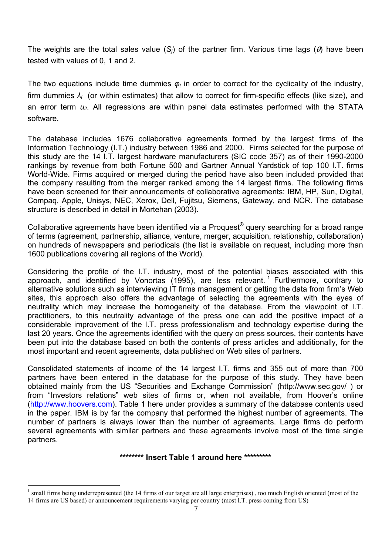The weights are the total sales value  $(S_i)$  of the partner firm. Various time lags  $(\theta)$  have been tested with values of 0, 1 and 2.

The two equations include time dummies *φt* in order to correct for the cyclicality of the industry, firm dummies *λi* (or within estimates) that allow to correct for firm-specific effects (like size), and an error term  $u_{it}$ . All regressions are within panel data estimates performed with the STATA software.

The database includes 1676 collaborative agreements formed by the largest firms of the Information Technology (I.T.) industry between 1986 and 2000. Firms selected for the purpose of this study are the 14 I.T. largest hardware manufacturers (SIC code 357) as of their 1990-2000 rankings by revenue from both Fortune 500 and Gartner Annual Yardstick of top 100 I.T. firms World-Wide. Firms acquired or merged during the period have also been included provided that the company resulting from the merger ranked among the 14 largest firms. The following firms have been screened for their announcements of collaborative agreements: IBM, HP, Sun, Digital, Compaq, Apple, Unisys, NEC, Xerox, Dell, Fujitsu, Siemens, Gateway, and NCR. The database structure is described in detail in Mortehan (2003).

Collaborative agreements have been identified via a Proquest**®** query searching for a broad range of terms (agreement, partnership, alliance, venture, merger, acquisition, relationship, collaboration) on hundreds of newspapers and periodicals (the list is available on request, including more than 1600 publications covering all regions of the World).

Considering the profile of the I.T. industry, most of the potential biases associated with this approach, and identified by Vonortas (1995), are less relevant.<sup>1</sup> Furthermore, contrary to alternative solutions such as interviewing IT firms management or getting the data from firm's Web sites, this approach also offers the advantage of selecting the agreements with the eyes of neutrality which may increase the homogeneity of the database. From the viewpoint of I.T. practitioners, to this neutrality advantage of the press one can add the positive impact of a considerable improvement of the I.T. press professionalism and technology expertise during the last 20 years. Once the agreements identified with the query on press sources, their contents have been put into the database based on both the contents of press articles and additionally, for the most important and recent agreements, data published on Web sites of partners.

Consolidated statements of income of the 14 largest I.T. firms and 355 out of more than 700 partners have been entered in the database for the purpose of this study. They have been obtained mainly from the US "Securities and Exchange Commission" (http://www.sec.gov/ ) or from "Investors relations" web sites of firms or, when not available, from Hoover's online (http://www.hoovers.com). Table 1 here under provides a summary of the database contents used in the paper. IBM is by far the company that performed the highest number of agreements. The number of partners is always lower than the number of agreements. Large firms do perform several agreements with similar partners and these agreements involve most of the time single partners.

**\*\*\*\*\*\*\*\* Insert Table 1 around here \*\*\*\*\*\*\*\*\*** 

<sup>1</sup> small firms being underrepresented (the 14 firms of our target are all large enterprises) , too much English oriented (most of the 14 firms are US based) or announcement requirements varying per country (most I.T. press coming from US)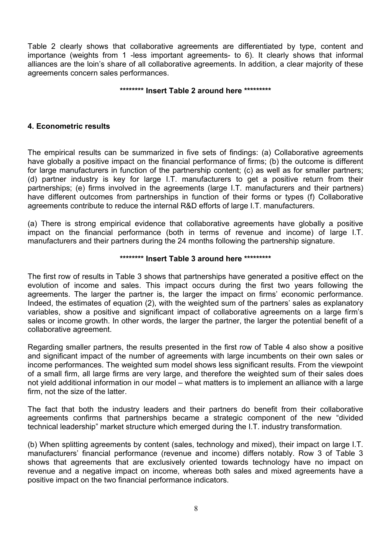Table 2 clearly shows that collaborative agreements are differentiated by type, content and importance (weights from 1 -less important agreements- to 6). It clearly shows that informal alliances are the loin's share of all collaborative agreements. In addition, a clear majority of these agreements concern sales performances.

#### **\*\*\*\*\*\*\*\* Insert Table 2 around here \*\*\*\*\*\*\*\*\***

#### **4. Econometric results**

The empirical results can be summarized in five sets of findings: (a) Collaborative agreements have globally a positive impact on the financial performance of firms; (b) the outcome is different for large manufacturers in function of the partnership content; (c) as well as for smaller partners; (d) partner industry is key for large I.T. manufacturers to get a positive return from their partnerships; (e) firms involved in the agreements (large I.T. manufacturers and their partners) have different outcomes from partnerships in function of their forms or types (f) Collaborative agreements contribute to reduce the internal R&D efforts of large I.T. manufacturers.

(a) There is strong empirical evidence that collaborative agreements have globally a positive impact on the financial performance (both in terms of revenue and income) of large I.T. manufacturers and their partners during the 24 months following the partnership signature.

#### **\*\*\*\*\*\*\*\* Insert Table 3 around here \*\*\*\*\*\*\*\*\***

The first row of results in Table 3 shows that partnerships have generated a positive effect on the evolution of income and sales. This impact occurs during the first two years following the agreements. The larger the partner is, the larger the impact on firms' economic performance. Indeed, the estimates of equation (2), with the weighted sum of the partners' sales as explanatory variables, show a positive and significant impact of collaborative agreements on a large firm's sales or income growth. In other words, the larger the partner, the larger the potential benefit of a collaborative agreement.

Regarding smaller partners, the results presented in the first row of Table 4 also show a positive and significant impact of the number of agreements with large incumbents on their own sales or income performances. The weighted sum model shows less significant results. From the viewpoint of a small firm, all large firms are very large, and therefore the weighted sum of their sales does not yield additional information in our model – what matters is to implement an alliance with a large firm, not the size of the latter.

The fact that both the industry leaders and their partners do benefit from their collaborative agreements confirms that partnerships became a strategic component of the new "divided technical leadership" market structure which emerged during the I.T. industry transformation.

(b) When splitting agreements by content (sales, technology and mixed), their impact on large I.T. manufacturers' financial performance (revenue and income) differs notably. Row 3 of Table 3 shows that agreements that are exclusively oriented towards technology have no impact on revenue and a negative impact on income, whereas both sales and mixed agreements have a positive impact on the two financial performance indicators.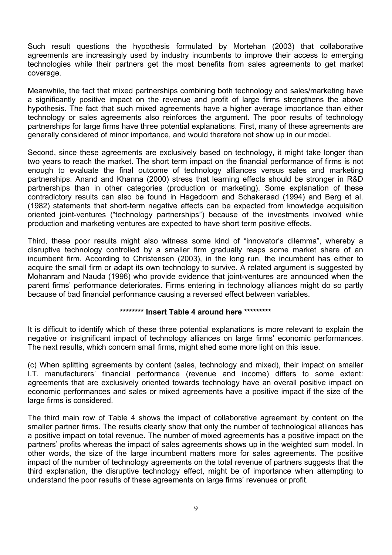Such result questions the hypothesis formulated by Mortehan (2003) that collaborative agreements are increasingly used by industry incumbents to improve their access to emerging technologies while their partners get the most benefits from sales agreements to get market coverage.

Meanwhile, the fact that mixed partnerships combining both technology and sales/marketing have a significantly positive impact on the revenue and profit of large firms strengthens the above hypothesis. The fact that such mixed agreements have a higher average importance than either technology or sales agreements also reinforces the argument. The poor results of technology partnerships for large firms have three potential explanations. First, many of these agreements are generally considered of minor importance, and would therefore not show up in our model.

Second, since these agreements are exclusively based on technology, it might take longer than two years to reach the market. The short term impact on the financial performance of firms is not enough to evaluate the final outcome of technology alliances versus sales and marketing partnerships. Anand and Khanna (2000) stress that learning effects should be stronger in R&D partnerships than in other categories (production or marketing). Some explanation of these contradictory results can also be found in Hagedoorn and Schakeraad (1994) and Berg et al. (1982) statements that short-term negative effects can be expected from knowledge acquisition oriented joint-ventures ("technology partnerships") because of the investments involved while production and marketing ventures are expected to have short term positive effects.

Third, these poor results might also witness some kind of "innovator's dilemma", whereby a disruptive technology controlled by a smaller firm gradually reaps some market share of an incumbent firm. According to Christensen (2003), in the long run, the incumbent has either to acquire the small firm or adapt its own technology to survive. A related argument is suggested by Mohanram and Nauda (1996) who provide evidence that joint-ventures are announced when the parent firms' performance deteriorates. Firms entering in technology alliances might do so partly because of bad financial performance causing a reversed effect between variables.

#### **\*\*\*\*\*\*\*\* Insert Table 4 around here \*\*\*\*\*\*\*\*\***

It is difficult to identify which of these three potential explanations is more relevant to explain the negative or insignificant impact of technology alliances on large firms' economic performances. The next results, which concern small firms, might shed some more light on this issue.

(c) When splitting agreements by content (sales, technology and mixed), their impact on smaller I.T. manufacturers' financial performance (revenue and income) differs to some extent: agreements that are exclusively oriented towards technology have an overall positive impact on economic performances and sales or mixed agreements have a positive impact if the size of the large firms is considered.

The third main row of Table 4 shows the impact of collaborative agreement by content on the smaller partner firms. The results clearly show that only the number of technological alliances has a positive impact on total revenue. The number of mixed agreements has a positive impact on the partners' profits whereas the impact of sales agreements shows up in the weighted sum model. In other words, the size of the large incumbent matters more for sales agreements. The positive impact of the number of technology agreements on the total revenue of partners suggests that the third explanation, the disruptive technology effect, might be of importance when attempting to understand the poor results of these agreements on large firms' revenues or profit.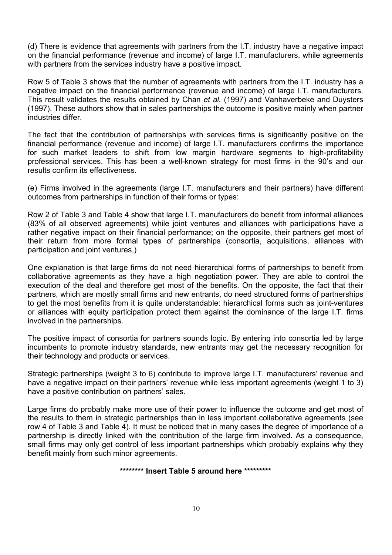(d) There is evidence that agreements with partners from the I.T. industry have a negative impact on the financial performance (revenue and income) of large I.T. manufacturers, while agreements with partners from the services industry have a positive impact.

Row 5 of Table 3 shows that the number of agreements with partners from the I.T. industry has a negative impact on the financial performance (revenue and income) of large I.T. manufacturers. This result validates the results obtained by Chan *et al.* (1997) and Vanhaverbeke and Duysters (1997). These authors show that in sales partnerships the outcome is positive mainly when partner industries differ.

The fact that the contribution of partnerships with services firms is significantly positive on the financial performance (revenue and income) of large I.T. manufacturers confirms the importance for such market leaders to shift from low margin hardware segments to high-profitability professional services. This has been a well-known strategy for most firms in the 90's and our results confirm its effectiveness.

(e) Firms involved in the agreements (large I.T. manufacturers and their partners) have different outcomes from partnerships in function of their forms or types:

Row 2 of Table 3 and Table 4 show that large I.T. manufacturers do benefit from informal alliances (83% of all observed agreements) while joint ventures and alliances with participations have a rather negative impact on their financial performance; on the opposite, their partners get most of their return from more formal types of partnerships (consortia, acquisitions, alliances with participation and joint ventures,)

One explanation is that large firms do not need hierarchical forms of partnerships to benefit from collaborative agreements as they have a high negotiation power. They are able to control the execution of the deal and therefore get most of the benefits. On the opposite, the fact that their partners, which are mostly small firms and new entrants, do need structured forms of partnerships to get the most benefits from it is quite understandable: hierarchical forms such as joint-ventures or alliances with equity participation protect them against the dominance of the large I.T. firms involved in the partnerships.

The positive impact of consortia for partners sounds logic. By entering into consortia led by large incumbents to promote industry standards, new entrants may get the necessary recognition for their technology and products or services.

Strategic partnerships (weight 3 to 6) contribute to improve large I.T. manufacturers' revenue and have a negative impact on their partners' revenue while less important agreements (weight 1 to 3) have a positive contribution on partners' sales.

Large firms do probably make more use of their power to influence the outcome and get most of the results to them in strategic partnerships than in less important collaborative agreements (see row 4 of Table 3 and Table 4). It must be noticed that in many cases the degree of importance of a partnership is directly linked with the contribution of the large firm involved. As a consequence, small firms may only get control of less important partnerships which probably explains why they benefit mainly from such minor agreements.

#### **\*\*\*\*\*\*\*\* Insert Table 5 around here \*\*\*\*\*\*\*\*\***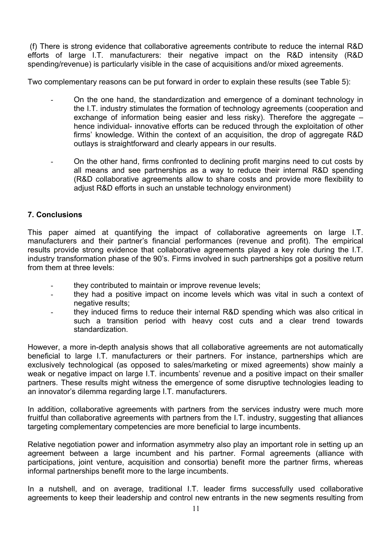(f) There is strong evidence that collaborative agreements contribute to reduce the internal R&D efforts of large I.T. manufacturers: their negative impact on the R&D intensity (R&D spending/revenue) is particularly visible in the case of acquisitions and/or mixed agreements.

Two complementary reasons can be put forward in order to explain these results (see Table 5):

- On the one hand, the standardization and emergence of a dominant technology in the I.T. industry stimulates the formation of technology agreements (cooperation and exchange of information being easier and less risky). Therefore the aggregate – hence individual- innovative efforts can be reduced through the exploitation of other firms' knowledge. Within the context of an acquisition, the drop of aggregate R&D outlays is straightforward and clearly appears in our results.
	- On the other hand, firms confronted to declining profit margins need to cut costs by all means and see partnerships as a way to reduce their internal R&D spending (R&D collaborative agreements allow to share costs and provide more flexibility to adjust R&D efforts in such an unstable technology environment)

#### **7. Conclusions**

This paper aimed at quantifying the impact of collaborative agreements on large I.T. manufacturers and their partner's financial performances (revenue and profit). The empirical results provide strong evidence that collaborative agreements played a key role during the I.T. industry transformation phase of the 90's. Firms involved in such partnerships got a positive return from them at three levels:

- they contributed to maintain or improve revenue levels;
- they had a positive impact on income levels which was vital in such a context of negative results:
- they induced firms to reduce their internal R&D spending which was also critical in such a transition period with heavy cost cuts and a clear trend towards standardization.

However, a more in-depth analysis shows that all collaborative agreements are not automatically beneficial to large I.T. manufacturers or their partners. For instance, partnerships which are exclusively technological (as opposed to sales/marketing or mixed agreements) show mainly a weak or negative impact on large I.T. incumbents' revenue and a positive impact on their smaller partners. These results might witness the emergence of some disruptive technologies leading to an innovator's dilemma regarding large I.T. manufacturers.

In addition, collaborative agreements with partners from the services industry were much more fruitful than collaborative agreements with partners from the I.T. industry, suggesting that alliances targeting complementary competencies are more beneficial to large incumbents.

Relative negotiation power and information asymmetry also play an important role in setting up an agreement between a large incumbent and his partner. Formal agreements (alliance with participations, joint venture, acquisition and consortia) benefit more the partner firms, whereas informal partnerships benefit more to the large incumbents.

In a nutshell, and on average, traditional I.T. leader firms successfully used collaborative agreements to keep their leadership and control new entrants in the new segments resulting from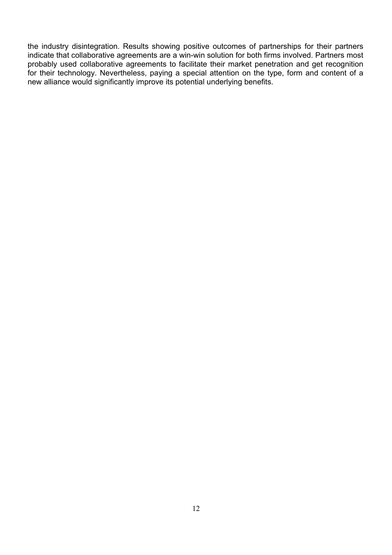the industry disintegration. Results showing positive outcomes of partnerships for their partners indicate that collaborative agreements are a win-win solution for both firms involved. Partners most probably used collaborative agreements to facilitate their market penetration and get recognition for their technology. Nevertheless, paying a special attention on the type, form and content of a new alliance would significantly improve its potential underlying benefits.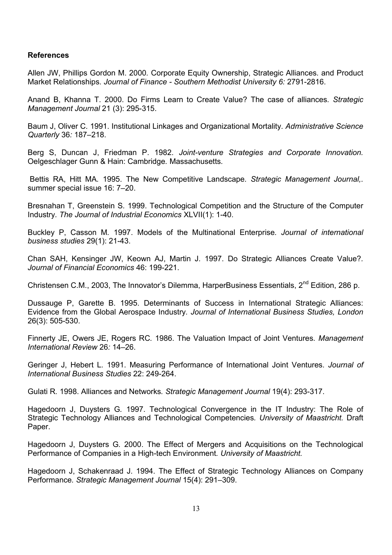#### **References**

Allen JW, Phillips Gordon M. 2000*.* Corporate Equity Ownership, Strategic Alliances*.* and Product Market Relationships*. Journal of Finance - Southern Methodist University 6:* 2791-2816.

Anand B, Khanna T. 2000. Do Firms Learn to Create Value? The case of alliances*. Strategic Management Journal* 21 (3): 295-315.

Baum J, Oliver C*.* 1991. Institutional Linkages and Organizational Mortality*. Administrative Science Quarterly* 36*:* 187–218.

Berg S, Duncan J, Friedman P. 1982. *Joint-venture Strategies and Corporate Innovation.* Oelgeschlager Gunn & Hain: Cambridge*.* Massachusetts*.*

 Bettis RA, Hitt MA*.* 1995. The New Competitive Landscape*. Strategic Management Journal,.* summer special issue 16: 7–20.

Bresnahan T, Greenstein S*.* 1999. Technological Competition and the Structure of the Computer Industry*. The Journal of Industrial Economics* XLVII(1): 1-40.

Buckley P, Casson M*.* 1997. Models of the Multinational Enterprise*. Journal of international business studies* 29(1): 21-43.

Chan SAH, Kensinger JW, Keown AJ, Martin J*.* 1997. Do Strategic Alliances Create Value?*. Journal of Financial Economics* 46: 199-221.

Christensen C.M., 2003, The Innovator's Dilemma, HarperBusiness Essentials, 2<sup>nd</sup> Edition, 286 p.

Dussauge P, Garette B*.* 1995. Determinants of Success in International Strategic Alliances: Evidence from the Global Aerospace Industry*. Journal of International Business Studies, London*  26(3): 505-530.

Finnerty JE, Owers JE, Rogers RC*.* 1986. The Valuation Impact of Joint Ventures*. Management International Review* 26*:* 14–26.

Geringer J, Hebert L*.* 1991. Measuring Performance of International Joint Ventures*. Journal of International Business Studies* 22: 249-264.

Gulati R*.* 1998. Alliances and Networks*. Strategic Management Journal* 19(4): 293-317.

Hagedoorn J, Duysters G*.* 1997. Technological Convergence in the IT Industry: The Role of Strategic Technology Alliances and Technological Competencies*. University of Maastricht.* Draft Paper.

Hagedoorn J, Duysters G*.* 2000. The Effect of Mergers and Acquisitions on the Technological Performance of Companies in a High-tech Environment*. University of Maastricht.*

Hagedoorn J, Schakenraad J*.* 1994. The Effect of Strategic Technology Alliances on Company Performance*. Strategic Management Journal* 15(4): 291–309.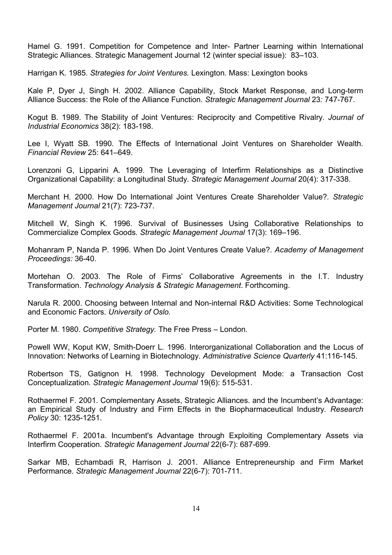Hamel G. 1991. Competition for Competence and Inter- Partner Learning within International Strategic Alliances. Strategic Management Journal 12 (winter special issue): 83–103.

Harrigan K*.* 1985*. Strategies for Joint Ventures.* Lexington*.* Mass: Lexington books

Kale P, Dyer J, Singh H*.* 2002. Alliance Capability, Stock Market Response, and Long-term Alliance Success: the Role of the Alliance Function*. Strategic Management Journal* 23*:* 747-767.

Kogut B*.* 1989. The Stability of Joint Ventures: Reciprocity and Competitive Rivalry*. Journal of Industrial Economics* 38(2): 183-198.

Lee I, Wyatt SB*.* 1990*.* The Effects of International Joint Ventures on Shareholder Wealth*. Financial Review* 25: 641–649.

Lorenzoni G, Lipparini A*.* 1999. The Leveraging of Interfirm Relationships as a Distinctive Organizational Capability: a Longitudinal Study*. Strategic Management Journal* 20(4): 317-338.

Merchant H*.* 2000. How Do International Joint Ventures Create Shareholder Value?*. Strategic Management Journal* 21(7): 723-737.

Mitchell W, Singh K*.* 1996. Survival of Businesses Using Collaborative Relationships to Commercialize Complex Goods*. Strategic Management Journal* 17(3): 169–196.

Mohanram P, Nanda P*.* 1996. When Do Joint Ventures Create Value?*. Academy of Management Proceedings:* 36-40.

Mortehan O. 2003. The Role of Firms' Collaborative Agreements in the I.T. Industry Transformation. *Technology Analysis & Strategic Management*. Forthcoming.

Narula R*.* 2000. Choosing between Internal and Non-internal R&D Activities: Some Technological and Economic Factors*. University of Oslo.*

Porter M*.* 1980. *Competitive Strategy.* The Free Press – London*.*

Powell WW, Koput KW, Smith-Doerr L*.* 1996. Interorganizational Collaboration and the Locus of Innovation: Networks of Learning in Biotechnology*. Administrative Science Quarterly* 41:116-145.

Robertson TS, Gatignon H*.* 1998. Technology Development Mode: a Transaction Cost Conceptualization*. Strategic Management Journal* 19(6): 515-531.

Rothaermel F*.* 2001. Complementary Assets, Strategic Alliances*.* and the Incumbent's Advantage: an Empirical Study of Industry and Firm Effects in the Biopharmaceutical Industry*. Research Policy* 30: 1235-1251.

Rothaermel F*.* 2001a. Incumbent's Advantage through Exploiting Complementary Assets via Interfirm Cooperation*. Strategic Management Journal* 22(6-7): 687-699.

Sarkar MB, Echambadi R, Harrison J*.* 2001. Alliance Entrepreneurship and Firm Market Performance*. Strategic Management Journal* 22(6-7): 701-711.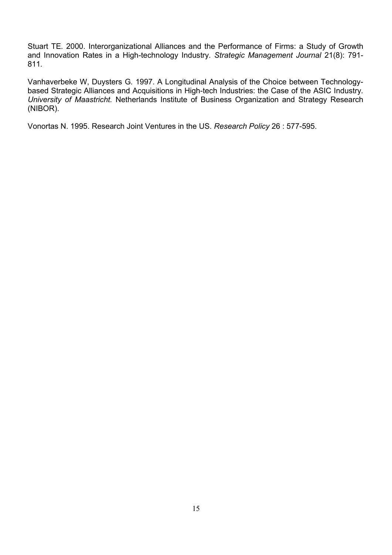Stuart TE*.* 2000. Interorganizational Alliances and the Performance of Firms: a Study of Growth and Innovation Rates in a High-technology Industry*. Strategic Management Journal* 21(8): 791- 811*.*

Vanhaverbeke W, Duysters G*.* 1997. A Longitudinal Analysis of the Choice between Technologybased Strategic Alliances and Acquisitions in High-tech Industries: the Case of the ASIC Industry*. University of Maastricht.* Netherlands Institute of Business Organization and Strategy Research (NIBOR).

Vonortas N. 1995. Research Joint Ventures in the US. *Research Policy* 26 : 577-595.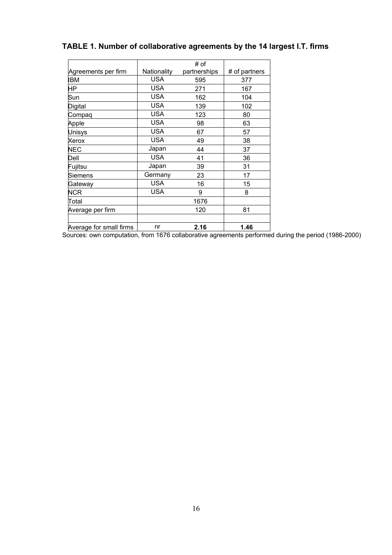|                         |             | # of         |               |
|-------------------------|-------------|--------------|---------------|
| Agreements per firm     | Nationality | partnerships | # of partners |
| <b>IBM</b>              | <b>USA</b>  | 595          | 377           |
| HΡ                      | <b>USA</b>  | 271          | 167           |
| Sun                     | <b>USA</b>  | 162          | 104           |
| Digital                 | <b>USA</b>  | 139          | 102           |
| Compaq                  | <b>USA</b>  | 123          | 80            |
| Apple                   | <b>USA</b>  | 98           | 63            |
| Unisys                  | <b>USA</b>  | 67           | 57            |
| Xerox                   | <b>USA</b>  | 49           | 38            |
| <b>NEC</b>              | Japan       | 44           | 37            |
| Dell                    | <b>USA</b>  | 41           | 36            |
| Fujitsu                 | Japan       | 39           | 31            |
| Siemens                 | Germany     | 23           | 17            |
| Gateway                 | <b>USA</b>  | 16           | 15            |
| <b>NCR</b>              | <b>USA</b>  | 9            | 8             |
| Total                   |             | 1676         |               |
| Average per firm        |             | 120          | 81            |
| Average for small firms | nr          | 2.16         | 1.46          |

## **TABLE 1. Number of collaborative agreements by the 14 largest I.T. firms**

Sources: own computation, from 1676 collaborative agreements performed during the period (1986-2000)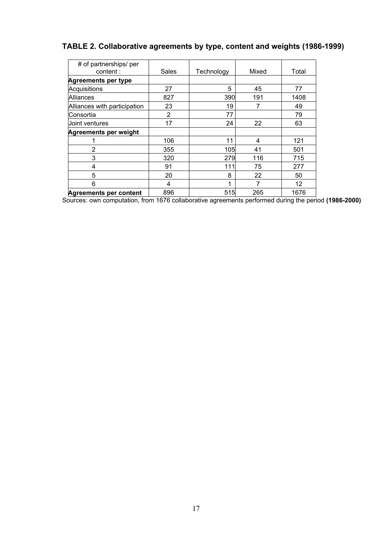### **TABLE 2. Collaborative agreements by type, content and weights (1986-1999)**

| # of partnerships/ per        |       |            |       |       |
|-------------------------------|-------|------------|-------|-------|
| content:                      | Sales | Technology | Mixed | Total |
| <b>Agreements per type</b>    |       |            |       |       |
| Acquisitions                  | 27    | 5          | 45    | 77    |
| Alliances                     | 827   | 390        | 191   | 1408  |
| Alliances with participation  | 23    | 19         |       | 49    |
| Consortia                     | 2     | 77         |       | 79    |
| Joint ventures                | 17    | 24         | 22    | 63    |
| <b>Agreements per weight</b>  |       |            |       |       |
|                               | 106   | 11         | 4     | 121   |
| 2                             | 355   | 105        | 41    | 501   |
| 3                             | 320   | 279        | 116   | 715   |
| 4                             | 91    | 111        | 75    | 277   |
| 5                             | 20    | 8          | 22    | 50    |
| 6                             | 4     | 1          |       | 12    |
| <b>Agreements per content</b> | 896   | 515        | 265   | 1676  |

Sources: own computation, from 1676 collaborative agreements performed during the period **(1986-2000)**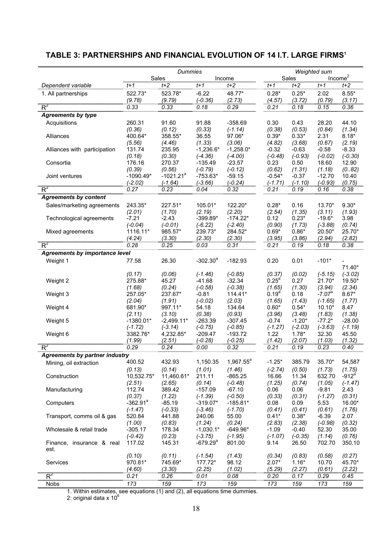### **TABLE 3: PARTNERSHIPS AND FINANCIAL EVOLUTION OF 14 I.T. LARGE FIRMS1**

| $Income2$<br>Sales<br>Sales<br>Income<br>$t+1$<br>$t+2$<br>$t+1$<br>$t+1$<br>$t+2$<br>Dependent variable<br>$t+2$<br>$t+1$<br>$t+2$<br>522.73*<br>523.78*<br>$-6.22$<br>48.77*<br>$0.28*$<br>$0.25*$<br>2.02<br>$8.55*$<br>1. All partnerships<br>(9.78)<br>(9.79)<br>$(-0.36)$<br>(2.73)<br>(4.57)<br>(3.72)<br>(0.79)<br>(3.17)<br>$\overline{R^2}$<br>0.36<br>0.33<br>0.33<br>0.29<br>0.18<br>0.15<br>0.18<br>0.21<br><b>Agreements by type</b><br>Acquisitions<br>260.31<br>91.60<br>91.88<br>0.30<br>0.43<br>28.20<br>44.10<br>$-358.69$<br>(0.33)<br>(0.36)<br>(0.12)<br>$(-1.14)$<br>(0.38)<br>(0.53)<br>(0.84)<br>(1.34)<br>400.64*<br>358.55*<br>36.55<br>97.06*<br>$0.33*$<br>2.31<br>$8.18*$<br>Alliances<br>$0.39*$<br>(5.56)<br>(4.46)<br>(1.33)<br>(3.06)<br>(3.68)<br>(0.67)<br>(2.19)<br>(4.82)<br>235.95<br>$-8.33$<br>Alliances with participation<br>131.74<br>$-1,236.6*$<br>$-1,258.0*$<br>$-0.32$<br>$-0.63$<br>$-0.58$<br>(0.18)<br>(0.30)<br>$(-0.48)$<br>$(-0.02)$<br>$(-0.30)$<br>$(-4.36)$<br>$(-4.00)$<br>$(-0.93)$<br>176.16<br>12.90<br>Consortia<br>270.37<br>$-135.49$<br>$-23.57$<br>0.23<br>0.50<br>18.60<br>(0.39)<br>(0.56)<br>$(-0.79)$<br>$(-0.12)$<br>(0.62)<br>(1.31)<br>(1.18)<br>(082)<br>$-1021.21a$<br>$-753.63*$<br>Joint ventures<br>-1090.49*<br>$-59.15$<br>$-0.54*$<br>$-0.37$<br>$-12.70$<br>10.40<br>$(-2.02)$<br>$(-1.64)$<br>$(-3.66)$<br>$(-0.24)$<br>$(-1.10)$<br>$(-0.93)$<br>(0.75)<br>$(-1.71)$<br>$\overline{\mathsf{R}}^2$<br>0.38<br>0.27<br>0.23<br>0.04<br>0.32<br>0.21<br>0.19<br>0.16<br><b>Agreements by content</b><br>243.35*<br>227.51*<br>105.01*<br>122.20*<br>$0.28*$<br>13.70*<br>$9.30*$<br>Sales/marketing agreements<br>0.16<br>(2.01)<br>(1.70)<br>(2.19)<br>(2.20)<br>(2.54)<br>(1.35)<br>(3.11)<br>(1.93)<br>$-7.21$<br>$-399.89*$<br>$0.23*$<br>$-19.6*$<br>3.98<br>Technological agreements<br>$-2.43$<br>$-174.22*$<br>0.12<br>$(-0.01)$<br>$(-0.04)$<br>$(-6.22)$<br>$(-2.40)$<br>(0.90)<br>(1.73)<br>$(-3.88)$<br>(0.74)<br>25.70*<br>Mixed agreements<br>1116.11*<br>985.57*<br>239.73*<br>284.52*<br>$0.69*$<br>$0.86*$<br>20.50*<br>(4.24)<br>(3.30)<br>(2.30)<br>(2.30)<br>(3.95)<br>(3.86)<br>(2.94)<br>(2.82)<br>$R^2$<br>0.28<br>0.25<br>0.03<br>0.31<br>0.19<br>0.18<br>0.38<br>0.21<br><b>Agreements by importance level</b><br>$-302.30^{a}$<br>77.58<br>26.30<br>$-182.93$<br>0.20<br>0.01<br>$-101*$<br>Weight 1<br>$71.40*$<br>$(-3.02)$<br>(0.06)<br>$(-1.46)$<br>$(-0.85)$<br>(0.37)<br>(0.02)<br>(0.17)<br>$(-5.15)$<br>$0.25^{\circ}$<br>275.88*<br>45.27<br>$-41.68$<br>$-32.34$<br>0.27<br>19.50*<br>Weight 2<br>$21.70*$<br>(0.24)<br>$(-0.58)$<br>$(-0.38)$<br>(1.30)<br>(3.94)<br>(2.34)<br>(1.68)<br>(1.65)<br>$-7.07a$<br>$8.67*$<br>114.41*<br>$0.19^{a}$<br>0.18<br>Weight 3<br>257.05*<br>237.67*<br>$-0.81$<br>(2.03)<br>(1.91)<br>$(-0.02)$<br>(1.77)<br>(2.04)<br>(1.65)<br>(1.43)<br>$(-1.65)$<br>681.90*<br>997.11*<br>$0.60*$<br>$0.54*$<br>$10.10*$<br>8.47<br>Weight 4<br>54.18<br>134.64<br>(3.10)<br>(0.38)<br>(0.93)<br>(3.96)<br>(1.83)<br>(1.38)<br>(2.11)<br>(3.48)<br>$-2,499.11*$<br>$-1.20*$<br>$-77.2*$<br>$-28.00$<br>Weight 5<br>$-1380.01*$<br>$-263.39$<br>$-307.45$<br>$-0.74$<br>$(-3.63)$<br>$(-1.72)$<br>$(-3.14)$<br>$(-0.75)$<br>$(-1.27)$<br>$(-2.03)$<br>$(-1.19)$<br>$(-0.85)$<br>3382.76*<br>$-193.72$<br>$1.78*$<br>45.50<br>Weight 6<br>4,232.85*<br>$-209.47$<br>1.22<br>32.30<br>(1.99)<br>$(-0.28)$<br>$(-0.25)$<br>(2.07)<br>(1.03)<br>(1.32)<br>(2.51)<br>(1.42)<br>$\overline{\mathsf{R}}^2$<br>0.29<br>0.32<br>0.21<br>0.19<br>0.23<br>0.40<br>0.24<br>0.00<br><b>Agreements by partner industry</b><br>$1,967.55^a$<br>400.52<br>432.93<br>1,150.35<br>$-1.25^*$<br>385.79<br>$35.70*$<br>54,587<br>Mining, oil extraction<br>(0.13)<br>(0.14)<br>(1.01)<br>(1.46)<br>$(-2.74)$<br>(0.50)<br>(1.73)<br>(1.75)<br>11,460.61*<br>$-912^a$<br>10,532.75*<br>211.11<br>$-865.25$<br>16.66<br>11.34<br>632.70<br>Construction<br>(2.51)<br>(2.65)<br>(0.14)<br>$(-0.48)$<br>(1.25)<br>(0.74)<br>(1.05)<br>$(-1.47)$<br>Manufacturing<br>112.74<br>389.42<br>$-157.09$<br>$-67.10$<br>0.06<br>0.06<br>$-9.81$<br>2.43<br>(0.31)<br>(0.37)<br>(1.22)<br>$(-1.39)$<br>$(-0.50)$<br>(0.33)<br>(0.31)<br>$(-1.27)$<br>$-362.91^a$<br>$-85.19$<br>$-319.07*$<br>$-185.81*$<br>0.08<br>0.09<br>5.53<br>16.00*<br>Computers<br>$(-1.47)$<br>$(-0.33)$<br>$(-3.46)$<br>$(-1.70)$<br>(0.41)<br>(0.41)<br>(0.61)<br>(1.76)<br>$0.38*$<br>$-6.39$<br>2.07<br>Transport, comms oil & gas<br>520.84<br>441.88<br>240.06<br>55.00<br>$0.41*$<br>(1.00)<br>(0.83)<br>(1.24)<br>(0.24)<br>$(-0.98)$<br>(0.32)<br>(2.83)<br>(2.38)<br>Wholesale & retail trade<br>$-305.17$<br>178.34<br>$-1,030.1*$<br>$-649.96*$<br>$-1.09$<br>$-0.40$<br>52.30<br>35.00<br>$(-0.42)$<br>(0.23)<br>$(-3.75)$<br>$(-1.95)$<br>(1.14)<br>(0.76)<br>$(-1.07)$<br>$(-0.35)$<br>145.31<br>$-679.29$ <sup>a</sup><br>702.70<br>117.02<br>801.00<br>9.14<br>26.50<br>350.10<br>Finance, insurance & real<br>est.<br>(0.10)<br>(0.11)<br>$(-1.54)$<br>(1.43)<br>(0.34)<br>(0.83)<br>(0.58)<br>(0.27)<br>Services<br>970.81*<br>745.69*<br>177.72*<br>98.12<br>$2.07*$<br>$1.16*$<br>10.70<br>45.70*<br>(4.60)<br>(3.30)<br>(2.25)<br>(1.02)<br>(5.29)<br>(2.27)<br>(0.61)<br>(2.22)<br>$\overline{\mathsf{R}}^2$<br>0.21<br>0.26<br>0.01<br>0.08<br>0.20<br>0.17<br>0.29<br>0.45 |             | Dummies |     |     | Weighted sum |     |     |     |     |
|----------------------------------------------------------------------------------------------------------------------------------------------------------------------------------------------------------------------------------------------------------------------------------------------------------------------------------------------------------------------------------------------------------------------------------------------------------------------------------------------------------------------------------------------------------------------------------------------------------------------------------------------------------------------------------------------------------------------------------------------------------------------------------------------------------------------------------------------------------------------------------------------------------------------------------------------------------------------------------------------------------------------------------------------------------------------------------------------------------------------------------------------------------------------------------------------------------------------------------------------------------------------------------------------------------------------------------------------------------------------------------------------------------------------------------------------------------------------------------------------------------------------------------------------------------------------------------------------------------------------------------------------------------------------------------------------------------------------------------------------------------------------------------------------------------------------------------------------------------------------------------------------------------------------------------------------------------------------------------------------------------------------------------------------------------------------------------------------------------------------------------------------------------------------------------------------------------------------------------------------------------------------------------------------------------------------------------------------------------------------------------------------------------------------------------------------------------------------------------------------------------------------------------------------------------------------------------------------------------------------------------------------------------------------------------------------------------------------------------------------------------------------------------------------------------------------------------------------------------------------------------------------------------------------------------------------------------------------------------------------------------------------------------------------------------------------------------------------------------------------------------------------------------------------------------------------------------------------------------------------------------------------------------------------------------------------------------------------------------------------------------------------------------------------------------------------------------------------------------------------------------------------------------------------------------------------------------------------------------------------------------------------------------------------------------------------------------------------------------------------------------------------------------------------------------------------------------------------------------------------------------------------------------------------------------------------------------------------------------------------------------------------------------------------------------------------------------------------------------------------------------------------------------------------------------------------------------------------------------------------------------------------------------------------------------------------------------------------------------------------------------------------------------------------------------------------------------------------------------------------------------------------------------------------------------------------------------------------------------------------------------------------------------------------------------------------------------------------------------------------------------------------------------------------------------------------------------------------------------------------------------------------------------------------------------------------------------------------------------------------------------------------------------------------------------------------------------------------------------------------------------------------------------------------------------------------------------------------------------------------------------------------------------------------------------------------------------------------------------------------------------------------|-------------|---------|-----|-----|--------------|-----|-----|-----|-----|
|                                                                                                                                                                                                                                                                                                                                                                                                                                                                                                                                                                                                                                                                                                                                                                                                                                                                                                                                                                                                                                                                                                                                                                                                                                                                                                                                                                                                                                                                                                                                                                                                                                                                                                                                                                                                                                                                                                                                                                                                                                                                                                                                                                                                                                                                                                                                                                                                                                                                                                                                                                                                                                                                                                                                                                                                                                                                                                                                                                                                                                                                                                                                                                                                                                                                                                                                                                                                                                                                                                                                                                                                                                                                                                                                                                                                                                                                                                                                                                                                                                                                                                                                                                                                                                                                                                                                                                                                                                                                                                                                                                                                                                                                                                                                                                                                                                                                                                                                                                                                                                                                                                                                                                                                                                                                                                                                                                                              |             |         |     |     |              |     |     |     |     |
|                                                                                                                                                                                                                                                                                                                                                                                                                                                                                                                                                                                                                                                                                                                                                                                                                                                                                                                                                                                                                                                                                                                                                                                                                                                                                                                                                                                                                                                                                                                                                                                                                                                                                                                                                                                                                                                                                                                                                                                                                                                                                                                                                                                                                                                                                                                                                                                                                                                                                                                                                                                                                                                                                                                                                                                                                                                                                                                                                                                                                                                                                                                                                                                                                                                                                                                                                                                                                                                                                                                                                                                                                                                                                                                                                                                                                                                                                                                                                                                                                                                                                                                                                                                                                                                                                                                                                                                                                                                                                                                                                                                                                                                                                                                                                                                                                                                                                                                                                                                                                                                                                                                                                                                                                                                                                                                                                                                              |             |         |     |     |              |     |     |     |     |
|                                                                                                                                                                                                                                                                                                                                                                                                                                                                                                                                                                                                                                                                                                                                                                                                                                                                                                                                                                                                                                                                                                                                                                                                                                                                                                                                                                                                                                                                                                                                                                                                                                                                                                                                                                                                                                                                                                                                                                                                                                                                                                                                                                                                                                                                                                                                                                                                                                                                                                                                                                                                                                                                                                                                                                                                                                                                                                                                                                                                                                                                                                                                                                                                                                                                                                                                                                                                                                                                                                                                                                                                                                                                                                                                                                                                                                                                                                                                                                                                                                                                                                                                                                                                                                                                                                                                                                                                                                                                                                                                                                                                                                                                                                                                                                                                                                                                                                                                                                                                                                                                                                                                                                                                                                                                                                                                                                                              |             |         |     |     |              |     |     |     |     |
|                                                                                                                                                                                                                                                                                                                                                                                                                                                                                                                                                                                                                                                                                                                                                                                                                                                                                                                                                                                                                                                                                                                                                                                                                                                                                                                                                                                                                                                                                                                                                                                                                                                                                                                                                                                                                                                                                                                                                                                                                                                                                                                                                                                                                                                                                                                                                                                                                                                                                                                                                                                                                                                                                                                                                                                                                                                                                                                                                                                                                                                                                                                                                                                                                                                                                                                                                                                                                                                                                                                                                                                                                                                                                                                                                                                                                                                                                                                                                                                                                                                                                                                                                                                                                                                                                                                                                                                                                                                                                                                                                                                                                                                                                                                                                                                                                                                                                                                                                                                                                                                                                                                                                                                                                                                                                                                                                                                              |             |         |     |     |              |     |     |     |     |
|                                                                                                                                                                                                                                                                                                                                                                                                                                                                                                                                                                                                                                                                                                                                                                                                                                                                                                                                                                                                                                                                                                                                                                                                                                                                                                                                                                                                                                                                                                                                                                                                                                                                                                                                                                                                                                                                                                                                                                                                                                                                                                                                                                                                                                                                                                                                                                                                                                                                                                                                                                                                                                                                                                                                                                                                                                                                                                                                                                                                                                                                                                                                                                                                                                                                                                                                                                                                                                                                                                                                                                                                                                                                                                                                                                                                                                                                                                                                                                                                                                                                                                                                                                                                                                                                                                                                                                                                                                                                                                                                                                                                                                                                                                                                                                                                                                                                                                                                                                                                                                                                                                                                                                                                                                                                                                                                                                                              |             |         |     |     |              |     |     |     |     |
|                                                                                                                                                                                                                                                                                                                                                                                                                                                                                                                                                                                                                                                                                                                                                                                                                                                                                                                                                                                                                                                                                                                                                                                                                                                                                                                                                                                                                                                                                                                                                                                                                                                                                                                                                                                                                                                                                                                                                                                                                                                                                                                                                                                                                                                                                                                                                                                                                                                                                                                                                                                                                                                                                                                                                                                                                                                                                                                                                                                                                                                                                                                                                                                                                                                                                                                                                                                                                                                                                                                                                                                                                                                                                                                                                                                                                                                                                                                                                                                                                                                                                                                                                                                                                                                                                                                                                                                                                                                                                                                                                                                                                                                                                                                                                                                                                                                                                                                                                                                                                                                                                                                                                                                                                                                                                                                                                                                              |             |         |     |     |              |     |     |     |     |
|                                                                                                                                                                                                                                                                                                                                                                                                                                                                                                                                                                                                                                                                                                                                                                                                                                                                                                                                                                                                                                                                                                                                                                                                                                                                                                                                                                                                                                                                                                                                                                                                                                                                                                                                                                                                                                                                                                                                                                                                                                                                                                                                                                                                                                                                                                                                                                                                                                                                                                                                                                                                                                                                                                                                                                                                                                                                                                                                                                                                                                                                                                                                                                                                                                                                                                                                                                                                                                                                                                                                                                                                                                                                                                                                                                                                                                                                                                                                                                                                                                                                                                                                                                                                                                                                                                                                                                                                                                                                                                                                                                                                                                                                                                                                                                                                                                                                                                                                                                                                                                                                                                                                                                                                                                                                                                                                                                                              |             |         |     |     |              |     |     |     |     |
|                                                                                                                                                                                                                                                                                                                                                                                                                                                                                                                                                                                                                                                                                                                                                                                                                                                                                                                                                                                                                                                                                                                                                                                                                                                                                                                                                                                                                                                                                                                                                                                                                                                                                                                                                                                                                                                                                                                                                                                                                                                                                                                                                                                                                                                                                                                                                                                                                                                                                                                                                                                                                                                                                                                                                                                                                                                                                                                                                                                                                                                                                                                                                                                                                                                                                                                                                                                                                                                                                                                                                                                                                                                                                                                                                                                                                                                                                                                                                                                                                                                                                                                                                                                                                                                                                                                                                                                                                                                                                                                                                                                                                                                                                                                                                                                                                                                                                                                                                                                                                                                                                                                                                                                                                                                                                                                                                                                              |             |         |     |     |              |     |     |     |     |
|                                                                                                                                                                                                                                                                                                                                                                                                                                                                                                                                                                                                                                                                                                                                                                                                                                                                                                                                                                                                                                                                                                                                                                                                                                                                                                                                                                                                                                                                                                                                                                                                                                                                                                                                                                                                                                                                                                                                                                                                                                                                                                                                                                                                                                                                                                                                                                                                                                                                                                                                                                                                                                                                                                                                                                                                                                                                                                                                                                                                                                                                                                                                                                                                                                                                                                                                                                                                                                                                                                                                                                                                                                                                                                                                                                                                                                                                                                                                                                                                                                                                                                                                                                                                                                                                                                                                                                                                                                                                                                                                                                                                                                                                                                                                                                                                                                                                                                                                                                                                                                                                                                                                                                                                                                                                                                                                                                                              |             |         |     |     |              |     |     |     |     |
|                                                                                                                                                                                                                                                                                                                                                                                                                                                                                                                                                                                                                                                                                                                                                                                                                                                                                                                                                                                                                                                                                                                                                                                                                                                                                                                                                                                                                                                                                                                                                                                                                                                                                                                                                                                                                                                                                                                                                                                                                                                                                                                                                                                                                                                                                                                                                                                                                                                                                                                                                                                                                                                                                                                                                                                                                                                                                                                                                                                                                                                                                                                                                                                                                                                                                                                                                                                                                                                                                                                                                                                                                                                                                                                                                                                                                                                                                                                                                                                                                                                                                                                                                                                                                                                                                                                                                                                                                                                                                                                                                                                                                                                                                                                                                                                                                                                                                                                                                                                                                                                                                                                                                                                                                                                                                                                                                                                              |             |         |     |     |              |     |     |     |     |
|                                                                                                                                                                                                                                                                                                                                                                                                                                                                                                                                                                                                                                                                                                                                                                                                                                                                                                                                                                                                                                                                                                                                                                                                                                                                                                                                                                                                                                                                                                                                                                                                                                                                                                                                                                                                                                                                                                                                                                                                                                                                                                                                                                                                                                                                                                                                                                                                                                                                                                                                                                                                                                                                                                                                                                                                                                                                                                                                                                                                                                                                                                                                                                                                                                                                                                                                                                                                                                                                                                                                                                                                                                                                                                                                                                                                                                                                                                                                                                                                                                                                                                                                                                                                                                                                                                                                                                                                                                                                                                                                                                                                                                                                                                                                                                                                                                                                                                                                                                                                                                                                                                                                                                                                                                                                                                                                                                                              |             |         |     |     |              |     |     |     |     |
|                                                                                                                                                                                                                                                                                                                                                                                                                                                                                                                                                                                                                                                                                                                                                                                                                                                                                                                                                                                                                                                                                                                                                                                                                                                                                                                                                                                                                                                                                                                                                                                                                                                                                                                                                                                                                                                                                                                                                                                                                                                                                                                                                                                                                                                                                                                                                                                                                                                                                                                                                                                                                                                                                                                                                                                                                                                                                                                                                                                                                                                                                                                                                                                                                                                                                                                                                                                                                                                                                                                                                                                                                                                                                                                                                                                                                                                                                                                                                                                                                                                                                                                                                                                                                                                                                                                                                                                                                                                                                                                                                                                                                                                                                                                                                                                                                                                                                                                                                                                                                                                                                                                                                                                                                                                                                                                                                                                              |             |         |     |     |              |     |     |     |     |
|                                                                                                                                                                                                                                                                                                                                                                                                                                                                                                                                                                                                                                                                                                                                                                                                                                                                                                                                                                                                                                                                                                                                                                                                                                                                                                                                                                                                                                                                                                                                                                                                                                                                                                                                                                                                                                                                                                                                                                                                                                                                                                                                                                                                                                                                                                                                                                                                                                                                                                                                                                                                                                                                                                                                                                                                                                                                                                                                                                                                                                                                                                                                                                                                                                                                                                                                                                                                                                                                                                                                                                                                                                                                                                                                                                                                                                                                                                                                                                                                                                                                                                                                                                                                                                                                                                                                                                                                                                                                                                                                                                                                                                                                                                                                                                                                                                                                                                                                                                                                                                                                                                                                                                                                                                                                                                                                                                                              |             |         |     |     |              |     |     |     |     |
|                                                                                                                                                                                                                                                                                                                                                                                                                                                                                                                                                                                                                                                                                                                                                                                                                                                                                                                                                                                                                                                                                                                                                                                                                                                                                                                                                                                                                                                                                                                                                                                                                                                                                                                                                                                                                                                                                                                                                                                                                                                                                                                                                                                                                                                                                                                                                                                                                                                                                                                                                                                                                                                                                                                                                                                                                                                                                                                                                                                                                                                                                                                                                                                                                                                                                                                                                                                                                                                                                                                                                                                                                                                                                                                                                                                                                                                                                                                                                                                                                                                                                                                                                                                                                                                                                                                                                                                                                                                                                                                                                                                                                                                                                                                                                                                                                                                                                                                                                                                                                                                                                                                                                                                                                                                                                                                                                                                              |             |         |     |     |              |     |     |     |     |
|                                                                                                                                                                                                                                                                                                                                                                                                                                                                                                                                                                                                                                                                                                                                                                                                                                                                                                                                                                                                                                                                                                                                                                                                                                                                                                                                                                                                                                                                                                                                                                                                                                                                                                                                                                                                                                                                                                                                                                                                                                                                                                                                                                                                                                                                                                                                                                                                                                                                                                                                                                                                                                                                                                                                                                                                                                                                                                                                                                                                                                                                                                                                                                                                                                                                                                                                                                                                                                                                                                                                                                                                                                                                                                                                                                                                                                                                                                                                                                                                                                                                                                                                                                                                                                                                                                                                                                                                                                                                                                                                                                                                                                                                                                                                                                                                                                                                                                                                                                                                                                                                                                                                                                                                                                                                                                                                                                                              |             |         |     |     |              |     |     |     |     |
|                                                                                                                                                                                                                                                                                                                                                                                                                                                                                                                                                                                                                                                                                                                                                                                                                                                                                                                                                                                                                                                                                                                                                                                                                                                                                                                                                                                                                                                                                                                                                                                                                                                                                                                                                                                                                                                                                                                                                                                                                                                                                                                                                                                                                                                                                                                                                                                                                                                                                                                                                                                                                                                                                                                                                                                                                                                                                                                                                                                                                                                                                                                                                                                                                                                                                                                                                                                                                                                                                                                                                                                                                                                                                                                                                                                                                                                                                                                                                                                                                                                                                                                                                                                                                                                                                                                                                                                                                                                                                                                                                                                                                                                                                                                                                                                                                                                                                                                                                                                                                                                                                                                                                                                                                                                                                                                                                                                              |             |         |     |     |              |     |     |     |     |
|                                                                                                                                                                                                                                                                                                                                                                                                                                                                                                                                                                                                                                                                                                                                                                                                                                                                                                                                                                                                                                                                                                                                                                                                                                                                                                                                                                                                                                                                                                                                                                                                                                                                                                                                                                                                                                                                                                                                                                                                                                                                                                                                                                                                                                                                                                                                                                                                                                                                                                                                                                                                                                                                                                                                                                                                                                                                                                                                                                                                                                                                                                                                                                                                                                                                                                                                                                                                                                                                                                                                                                                                                                                                                                                                                                                                                                                                                                                                                                                                                                                                                                                                                                                                                                                                                                                                                                                                                                                                                                                                                                                                                                                                                                                                                                                                                                                                                                                                                                                                                                                                                                                                                                                                                                                                                                                                                                                              |             |         |     |     |              |     |     |     |     |
|                                                                                                                                                                                                                                                                                                                                                                                                                                                                                                                                                                                                                                                                                                                                                                                                                                                                                                                                                                                                                                                                                                                                                                                                                                                                                                                                                                                                                                                                                                                                                                                                                                                                                                                                                                                                                                                                                                                                                                                                                                                                                                                                                                                                                                                                                                                                                                                                                                                                                                                                                                                                                                                                                                                                                                                                                                                                                                                                                                                                                                                                                                                                                                                                                                                                                                                                                                                                                                                                                                                                                                                                                                                                                                                                                                                                                                                                                                                                                                                                                                                                                                                                                                                                                                                                                                                                                                                                                                                                                                                                                                                                                                                                                                                                                                                                                                                                                                                                                                                                                                                                                                                                                                                                                                                                                                                                                                                              |             |         |     |     |              |     |     |     |     |
|                                                                                                                                                                                                                                                                                                                                                                                                                                                                                                                                                                                                                                                                                                                                                                                                                                                                                                                                                                                                                                                                                                                                                                                                                                                                                                                                                                                                                                                                                                                                                                                                                                                                                                                                                                                                                                                                                                                                                                                                                                                                                                                                                                                                                                                                                                                                                                                                                                                                                                                                                                                                                                                                                                                                                                                                                                                                                                                                                                                                                                                                                                                                                                                                                                                                                                                                                                                                                                                                                                                                                                                                                                                                                                                                                                                                                                                                                                                                                                                                                                                                                                                                                                                                                                                                                                                                                                                                                                                                                                                                                                                                                                                                                                                                                                                                                                                                                                                                                                                                                                                                                                                                                                                                                                                                                                                                                                                              |             |         |     |     |              |     |     |     |     |
|                                                                                                                                                                                                                                                                                                                                                                                                                                                                                                                                                                                                                                                                                                                                                                                                                                                                                                                                                                                                                                                                                                                                                                                                                                                                                                                                                                                                                                                                                                                                                                                                                                                                                                                                                                                                                                                                                                                                                                                                                                                                                                                                                                                                                                                                                                                                                                                                                                                                                                                                                                                                                                                                                                                                                                                                                                                                                                                                                                                                                                                                                                                                                                                                                                                                                                                                                                                                                                                                                                                                                                                                                                                                                                                                                                                                                                                                                                                                                                                                                                                                                                                                                                                                                                                                                                                                                                                                                                                                                                                                                                                                                                                                                                                                                                                                                                                                                                                                                                                                                                                                                                                                                                                                                                                                                                                                                                                              |             |         |     |     |              |     |     |     |     |
|                                                                                                                                                                                                                                                                                                                                                                                                                                                                                                                                                                                                                                                                                                                                                                                                                                                                                                                                                                                                                                                                                                                                                                                                                                                                                                                                                                                                                                                                                                                                                                                                                                                                                                                                                                                                                                                                                                                                                                                                                                                                                                                                                                                                                                                                                                                                                                                                                                                                                                                                                                                                                                                                                                                                                                                                                                                                                                                                                                                                                                                                                                                                                                                                                                                                                                                                                                                                                                                                                                                                                                                                                                                                                                                                                                                                                                                                                                                                                                                                                                                                                                                                                                                                                                                                                                                                                                                                                                                                                                                                                                                                                                                                                                                                                                                                                                                                                                                                                                                                                                                                                                                                                                                                                                                                                                                                                                                              |             |         |     |     |              |     |     |     |     |
|                                                                                                                                                                                                                                                                                                                                                                                                                                                                                                                                                                                                                                                                                                                                                                                                                                                                                                                                                                                                                                                                                                                                                                                                                                                                                                                                                                                                                                                                                                                                                                                                                                                                                                                                                                                                                                                                                                                                                                                                                                                                                                                                                                                                                                                                                                                                                                                                                                                                                                                                                                                                                                                                                                                                                                                                                                                                                                                                                                                                                                                                                                                                                                                                                                                                                                                                                                                                                                                                                                                                                                                                                                                                                                                                                                                                                                                                                                                                                                                                                                                                                                                                                                                                                                                                                                                                                                                                                                                                                                                                                                                                                                                                                                                                                                                                                                                                                                                                                                                                                                                                                                                                                                                                                                                                                                                                                                                              |             |         |     |     |              |     |     |     |     |
|                                                                                                                                                                                                                                                                                                                                                                                                                                                                                                                                                                                                                                                                                                                                                                                                                                                                                                                                                                                                                                                                                                                                                                                                                                                                                                                                                                                                                                                                                                                                                                                                                                                                                                                                                                                                                                                                                                                                                                                                                                                                                                                                                                                                                                                                                                                                                                                                                                                                                                                                                                                                                                                                                                                                                                                                                                                                                                                                                                                                                                                                                                                                                                                                                                                                                                                                                                                                                                                                                                                                                                                                                                                                                                                                                                                                                                                                                                                                                                                                                                                                                                                                                                                                                                                                                                                                                                                                                                                                                                                                                                                                                                                                                                                                                                                                                                                                                                                                                                                                                                                                                                                                                                                                                                                                                                                                                                                              |             |         |     |     |              |     |     |     |     |
|                                                                                                                                                                                                                                                                                                                                                                                                                                                                                                                                                                                                                                                                                                                                                                                                                                                                                                                                                                                                                                                                                                                                                                                                                                                                                                                                                                                                                                                                                                                                                                                                                                                                                                                                                                                                                                                                                                                                                                                                                                                                                                                                                                                                                                                                                                                                                                                                                                                                                                                                                                                                                                                                                                                                                                                                                                                                                                                                                                                                                                                                                                                                                                                                                                                                                                                                                                                                                                                                                                                                                                                                                                                                                                                                                                                                                                                                                                                                                                                                                                                                                                                                                                                                                                                                                                                                                                                                                                                                                                                                                                                                                                                                                                                                                                                                                                                                                                                                                                                                                                                                                                                                                                                                                                                                                                                                                                                              |             |         |     |     |              |     |     |     |     |
|                                                                                                                                                                                                                                                                                                                                                                                                                                                                                                                                                                                                                                                                                                                                                                                                                                                                                                                                                                                                                                                                                                                                                                                                                                                                                                                                                                                                                                                                                                                                                                                                                                                                                                                                                                                                                                                                                                                                                                                                                                                                                                                                                                                                                                                                                                                                                                                                                                                                                                                                                                                                                                                                                                                                                                                                                                                                                                                                                                                                                                                                                                                                                                                                                                                                                                                                                                                                                                                                                                                                                                                                                                                                                                                                                                                                                                                                                                                                                                                                                                                                                                                                                                                                                                                                                                                                                                                                                                                                                                                                                                                                                                                                                                                                                                                                                                                                                                                                                                                                                                                                                                                                                                                                                                                                                                                                                                                              |             |         |     |     |              |     |     |     |     |
|                                                                                                                                                                                                                                                                                                                                                                                                                                                                                                                                                                                                                                                                                                                                                                                                                                                                                                                                                                                                                                                                                                                                                                                                                                                                                                                                                                                                                                                                                                                                                                                                                                                                                                                                                                                                                                                                                                                                                                                                                                                                                                                                                                                                                                                                                                                                                                                                                                                                                                                                                                                                                                                                                                                                                                                                                                                                                                                                                                                                                                                                                                                                                                                                                                                                                                                                                                                                                                                                                                                                                                                                                                                                                                                                                                                                                                                                                                                                                                                                                                                                                                                                                                                                                                                                                                                                                                                                                                                                                                                                                                                                                                                                                                                                                                                                                                                                                                                                                                                                                                                                                                                                                                                                                                                                                                                                                                                              |             |         |     |     |              |     |     |     |     |
|                                                                                                                                                                                                                                                                                                                                                                                                                                                                                                                                                                                                                                                                                                                                                                                                                                                                                                                                                                                                                                                                                                                                                                                                                                                                                                                                                                                                                                                                                                                                                                                                                                                                                                                                                                                                                                                                                                                                                                                                                                                                                                                                                                                                                                                                                                                                                                                                                                                                                                                                                                                                                                                                                                                                                                                                                                                                                                                                                                                                                                                                                                                                                                                                                                                                                                                                                                                                                                                                                                                                                                                                                                                                                                                                                                                                                                                                                                                                                                                                                                                                                                                                                                                                                                                                                                                                                                                                                                                                                                                                                                                                                                                                                                                                                                                                                                                                                                                                                                                                                                                                                                                                                                                                                                                                                                                                                                                              |             |         |     |     |              |     |     |     |     |
|                                                                                                                                                                                                                                                                                                                                                                                                                                                                                                                                                                                                                                                                                                                                                                                                                                                                                                                                                                                                                                                                                                                                                                                                                                                                                                                                                                                                                                                                                                                                                                                                                                                                                                                                                                                                                                                                                                                                                                                                                                                                                                                                                                                                                                                                                                                                                                                                                                                                                                                                                                                                                                                                                                                                                                                                                                                                                                                                                                                                                                                                                                                                                                                                                                                                                                                                                                                                                                                                                                                                                                                                                                                                                                                                                                                                                                                                                                                                                                                                                                                                                                                                                                                                                                                                                                                                                                                                                                                                                                                                                                                                                                                                                                                                                                                                                                                                                                                                                                                                                                                                                                                                                                                                                                                                                                                                                                                              |             |         |     |     |              |     |     |     |     |
|                                                                                                                                                                                                                                                                                                                                                                                                                                                                                                                                                                                                                                                                                                                                                                                                                                                                                                                                                                                                                                                                                                                                                                                                                                                                                                                                                                                                                                                                                                                                                                                                                                                                                                                                                                                                                                                                                                                                                                                                                                                                                                                                                                                                                                                                                                                                                                                                                                                                                                                                                                                                                                                                                                                                                                                                                                                                                                                                                                                                                                                                                                                                                                                                                                                                                                                                                                                                                                                                                                                                                                                                                                                                                                                                                                                                                                                                                                                                                                                                                                                                                                                                                                                                                                                                                                                                                                                                                                                                                                                                                                                                                                                                                                                                                                                                                                                                                                                                                                                                                                                                                                                                                                                                                                                                                                                                                                                              |             |         |     |     |              |     |     |     |     |
|                                                                                                                                                                                                                                                                                                                                                                                                                                                                                                                                                                                                                                                                                                                                                                                                                                                                                                                                                                                                                                                                                                                                                                                                                                                                                                                                                                                                                                                                                                                                                                                                                                                                                                                                                                                                                                                                                                                                                                                                                                                                                                                                                                                                                                                                                                                                                                                                                                                                                                                                                                                                                                                                                                                                                                                                                                                                                                                                                                                                                                                                                                                                                                                                                                                                                                                                                                                                                                                                                                                                                                                                                                                                                                                                                                                                                                                                                                                                                                                                                                                                                                                                                                                                                                                                                                                                                                                                                                                                                                                                                                                                                                                                                                                                                                                                                                                                                                                                                                                                                                                                                                                                                                                                                                                                                                                                                                                              |             |         |     |     |              |     |     |     |     |
|                                                                                                                                                                                                                                                                                                                                                                                                                                                                                                                                                                                                                                                                                                                                                                                                                                                                                                                                                                                                                                                                                                                                                                                                                                                                                                                                                                                                                                                                                                                                                                                                                                                                                                                                                                                                                                                                                                                                                                                                                                                                                                                                                                                                                                                                                                                                                                                                                                                                                                                                                                                                                                                                                                                                                                                                                                                                                                                                                                                                                                                                                                                                                                                                                                                                                                                                                                                                                                                                                                                                                                                                                                                                                                                                                                                                                                                                                                                                                                                                                                                                                                                                                                                                                                                                                                                                                                                                                                                                                                                                                                                                                                                                                                                                                                                                                                                                                                                                                                                                                                                                                                                                                                                                                                                                                                                                                                                              |             |         |     |     |              |     |     |     |     |
|                                                                                                                                                                                                                                                                                                                                                                                                                                                                                                                                                                                                                                                                                                                                                                                                                                                                                                                                                                                                                                                                                                                                                                                                                                                                                                                                                                                                                                                                                                                                                                                                                                                                                                                                                                                                                                                                                                                                                                                                                                                                                                                                                                                                                                                                                                                                                                                                                                                                                                                                                                                                                                                                                                                                                                                                                                                                                                                                                                                                                                                                                                                                                                                                                                                                                                                                                                                                                                                                                                                                                                                                                                                                                                                                                                                                                                                                                                                                                                                                                                                                                                                                                                                                                                                                                                                                                                                                                                                                                                                                                                                                                                                                                                                                                                                                                                                                                                                                                                                                                                                                                                                                                                                                                                                                                                                                                                                              |             |         |     |     |              |     |     |     |     |
|                                                                                                                                                                                                                                                                                                                                                                                                                                                                                                                                                                                                                                                                                                                                                                                                                                                                                                                                                                                                                                                                                                                                                                                                                                                                                                                                                                                                                                                                                                                                                                                                                                                                                                                                                                                                                                                                                                                                                                                                                                                                                                                                                                                                                                                                                                                                                                                                                                                                                                                                                                                                                                                                                                                                                                                                                                                                                                                                                                                                                                                                                                                                                                                                                                                                                                                                                                                                                                                                                                                                                                                                                                                                                                                                                                                                                                                                                                                                                                                                                                                                                                                                                                                                                                                                                                                                                                                                                                                                                                                                                                                                                                                                                                                                                                                                                                                                                                                                                                                                                                                                                                                                                                                                                                                                                                                                                                                              |             |         |     |     |              |     |     |     |     |
|                                                                                                                                                                                                                                                                                                                                                                                                                                                                                                                                                                                                                                                                                                                                                                                                                                                                                                                                                                                                                                                                                                                                                                                                                                                                                                                                                                                                                                                                                                                                                                                                                                                                                                                                                                                                                                                                                                                                                                                                                                                                                                                                                                                                                                                                                                                                                                                                                                                                                                                                                                                                                                                                                                                                                                                                                                                                                                                                                                                                                                                                                                                                                                                                                                                                                                                                                                                                                                                                                                                                                                                                                                                                                                                                                                                                                                                                                                                                                                                                                                                                                                                                                                                                                                                                                                                                                                                                                                                                                                                                                                                                                                                                                                                                                                                                                                                                                                                                                                                                                                                                                                                                                                                                                                                                                                                                                                                              |             |         |     |     |              |     |     |     |     |
|                                                                                                                                                                                                                                                                                                                                                                                                                                                                                                                                                                                                                                                                                                                                                                                                                                                                                                                                                                                                                                                                                                                                                                                                                                                                                                                                                                                                                                                                                                                                                                                                                                                                                                                                                                                                                                                                                                                                                                                                                                                                                                                                                                                                                                                                                                                                                                                                                                                                                                                                                                                                                                                                                                                                                                                                                                                                                                                                                                                                                                                                                                                                                                                                                                                                                                                                                                                                                                                                                                                                                                                                                                                                                                                                                                                                                                                                                                                                                                                                                                                                                                                                                                                                                                                                                                                                                                                                                                                                                                                                                                                                                                                                                                                                                                                                                                                                                                                                                                                                                                                                                                                                                                                                                                                                                                                                                                                              |             |         |     |     |              |     |     |     |     |
|                                                                                                                                                                                                                                                                                                                                                                                                                                                                                                                                                                                                                                                                                                                                                                                                                                                                                                                                                                                                                                                                                                                                                                                                                                                                                                                                                                                                                                                                                                                                                                                                                                                                                                                                                                                                                                                                                                                                                                                                                                                                                                                                                                                                                                                                                                                                                                                                                                                                                                                                                                                                                                                                                                                                                                                                                                                                                                                                                                                                                                                                                                                                                                                                                                                                                                                                                                                                                                                                                                                                                                                                                                                                                                                                                                                                                                                                                                                                                                                                                                                                                                                                                                                                                                                                                                                                                                                                                                                                                                                                                                                                                                                                                                                                                                                                                                                                                                                                                                                                                                                                                                                                                                                                                                                                                                                                                                                              |             |         |     |     |              |     |     |     |     |
|                                                                                                                                                                                                                                                                                                                                                                                                                                                                                                                                                                                                                                                                                                                                                                                                                                                                                                                                                                                                                                                                                                                                                                                                                                                                                                                                                                                                                                                                                                                                                                                                                                                                                                                                                                                                                                                                                                                                                                                                                                                                                                                                                                                                                                                                                                                                                                                                                                                                                                                                                                                                                                                                                                                                                                                                                                                                                                                                                                                                                                                                                                                                                                                                                                                                                                                                                                                                                                                                                                                                                                                                                                                                                                                                                                                                                                                                                                                                                                                                                                                                                                                                                                                                                                                                                                                                                                                                                                                                                                                                                                                                                                                                                                                                                                                                                                                                                                                                                                                                                                                                                                                                                                                                                                                                                                                                                                                              |             |         |     |     |              |     |     |     |     |
|                                                                                                                                                                                                                                                                                                                                                                                                                                                                                                                                                                                                                                                                                                                                                                                                                                                                                                                                                                                                                                                                                                                                                                                                                                                                                                                                                                                                                                                                                                                                                                                                                                                                                                                                                                                                                                                                                                                                                                                                                                                                                                                                                                                                                                                                                                                                                                                                                                                                                                                                                                                                                                                                                                                                                                                                                                                                                                                                                                                                                                                                                                                                                                                                                                                                                                                                                                                                                                                                                                                                                                                                                                                                                                                                                                                                                                                                                                                                                                                                                                                                                                                                                                                                                                                                                                                                                                                                                                                                                                                                                                                                                                                                                                                                                                                                                                                                                                                                                                                                                                                                                                                                                                                                                                                                                                                                                                                              |             |         |     |     |              |     |     |     |     |
|                                                                                                                                                                                                                                                                                                                                                                                                                                                                                                                                                                                                                                                                                                                                                                                                                                                                                                                                                                                                                                                                                                                                                                                                                                                                                                                                                                                                                                                                                                                                                                                                                                                                                                                                                                                                                                                                                                                                                                                                                                                                                                                                                                                                                                                                                                                                                                                                                                                                                                                                                                                                                                                                                                                                                                                                                                                                                                                                                                                                                                                                                                                                                                                                                                                                                                                                                                                                                                                                                                                                                                                                                                                                                                                                                                                                                                                                                                                                                                                                                                                                                                                                                                                                                                                                                                                                                                                                                                                                                                                                                                                                                                                                                                                                                                                                                                                                                                                                                                                                                                                                                                                                                                                                                                                                                                                                                                                              |             |         |     |     |              |     |     |     |     |
|                                                                                                                                                                                                                                                                                                                                                                                                                                                                                                                                                                                                                                                                                                                                                                                                                                                                                                                                                                                                                                                                                                                                                                                                                                                                                                                                                                                                                                                                                                                                                                                                                                                                                                                                                                                                                                                                                                                                                                                                                                                                                                                                                                                                                                                                                                                                                                                                                                                                                                                                                                                                                                                                                                                                                                                                                                                                                                                                                                                                                                                                                                                                                                                                                                                                                                                                                                                                                                                                                                                                                                                                                                                                                                                                                                                                                                                                                                                                                                                                                                                                                                                                                                                                                                                                                                                                                                                                                                                                                                                                                                                                                                                                                                                                                                                                                                                                                                                                                                                                                                                                                                                                                                                                                                                                                                                                                                                              |             |         |     |     |              |     |     |     |     |
|                                                                                                                                                                                                                                                                                                                                                                                                                                                                                                                                                                                                                                                                                                                                                                                                                                                                                                                                                                                                                                                                                                                                                                                                                                                                                                                                                                                                                                                                                                                                                                                                                                                                                                                                                                                                                                                                                                                                                                                                                                                                                                                                                                                                                                                                                                                                                                                                                                                                                                                                                                                                                                                                                                                                                                                                                                                                                                                                                                                                                                                                                                                                                                                                                                                                                                                                                                                                                                                                                                                                                                                                                                                                                                                                                                                                                                                                                                                                                                                                                                                                                                                                                                                                                                                                                                                                                                                                                                                                                                                                                                                                                                                                                                                                                                                                                                                                                                                                                                                                                                                                                                                                                                                                                                                                                                                                                                                              |             |         |     |     |              |     |     |     |     |
|                                                                                                                                                                                                                                                                                                                                                                                                                                                                                                                                                                                                                                                                                                                                                                                                                                                                                                                                                                                                                                                                                                                                                                                                                                                                                                                                                                                                                                                                                                                                                                                                                                                                                                                                                                                                                                                                                                                                                                                                                                                                                                                                                                                                                                                                                                                                                                                                                                                                                                                                                                                                                                                                                                                                                                                                                                                                                                                                                                                                                                                                                                                                                                                                                                                                                                                                                                                                                                                                                                                                                                                                                                                                                                                                                                                                                                                                                                                                                                                                                                                                                                                                                                                                                                                                                                                                                                                                                                                                                                                                                                                                                                                                                                                                                                                                                                                                                                                                                                                                                                                                                                                                                                                                                                                                                                                                                                                              |             |         |     |     |              |     |     |     |     |
|                                                                                                                                                                                                                                                                                                                                                                                                                                                                                                                                                                                                                                                                                                                                                                                                                                                                                                                                                                                                                                                                                                                                                                                                                                                                                                                                                                                                                                                                                                                                                                                                                                                                                                                                                                                                                                                                                                                                                                                                                                                                                                                                                                                                                                                                                                                                                                                                                                                                                                                                                                                                                                                                                                                                                                                                                                                                                                                                                                                                                                                                                                                                                                                                                                                                                                                                                                                                                                                                                                                                                                                                                                                                                                                                                                                                                                                                                                                                                                                                                                                                                                                                                                                                                                                                                                                                                                                                                                                                                                                                                                                                                                                                                                                                                                                                                                                                                                                                                                                                                                                                                                                                                                                                                                                                                                                                                                                              |             |         |     |     |              |     |     |     |     |
|                                                                                                                                                                                                                                                                                                                                                                                                                                                                                                                                                                                                                                                                                                                                                                                                                                                                                                                                                                                                                                                                                                                                                                                                                                                                                                                                                                                                                                                                                                                                                                                                                                                                                                                                                                                                                                                                                                                                                                                                                                                                                                                                                                                                                                                                                                                                                                                                                                                                                                                                                                                                                                                                                                                                                                                                                                                                                                                                                                                                                                                                                                                                                                                                                                                                                                                                                                                                                                                                                                                                                                                                                                                                                                                                                                                                                                                                                                                                                                                                                                                                                                                                                                                                                                                                                                                                                                                                                                                                                                                                                                                                                                                                                                                                                                                                                                                                                                                                                                                                                                                                                                                                                                                                                                                                                                                                                                                              |             |         |     |     |              |     |     |     |     |
|                                                                                                                                                                                                                                                                                                                                                                                                                                                                                                                                                                                                                                                                                                                                                                                                                                                                                                                                                                                                                                                                                                                                                                                                                                                                                                                                                                                                                                                                                                                                                                                                                                                                                                                                                                                                                                                                                                                                                                                                                                                                                                                                                                                                                                                                                                                                                                                                                                                                                                                                                                                                                                                                                                                                                                                                                                                                                                                                                                                                                                                                                                                                                                                                                                                                                                                                                                                                                                                                                                                                                                                                                                                                                                                                                                                                                                                                                                                                                                                                                                                                                                                                                                                                                                                                                                                                                                                                                                                                                                                                                                                                                                                                                                                                                                                                                                                                                                                                                                                                                                                                                                                                                                                                                                                                                                                                                                                              |             |         |     |     |              |     |     |     |     |
|                                                                                                                                                                                                                                                                                                                                                                                                                                                                                                                                                                                                                                                                                                                                                                                                                                                                                                                                                                                                                                                                                                                                                                                                                                                                                                                                                                                                                                                                                                                                                                                                                                                                                                                                                                                                                                                                                                                                                                                                                                                                                                                                                                                                                                                                                                                                                                                                                                                                                                                                                                                                                                                                                                                                                                                                                                                                                                                                                                                                                                                                                                                                                                                                                                                                                                                                                                                                                                                                                                                                                                                                                                                                                                                                                                                                                                                                                                                                                                                                                                                                                                                                                                                                                                                                                                                                                                                                                                                                                                                                                                                                                                                                                                                                                                                                                                                                                                                                                                                                                                                                                                                                                                                                                                                                                                                                                                                              |             |         |     |     |              |     |     |     |     |
|                                                                                                                                                                                                                                                                                                                                                                                                                                                                                                                                                                                                                                                                                                                                                                                                                                                                                                                                                                                                                                                                                                                                                                                                                                                                                                                                                                                                                                                                                                                                                                                                                                                                                                                                                                                                                                                                                                                                                                                                                                                                                                                                                                                                                                                                                                                                                                                                                                                                                                                                                                                                                                                                                                                                                                                                                                                                                                                                                                                                                                                                                                                                                                                                                                                                                                                                                                                                                                                                                                                                                                                                                                                                                                                                                                                                                                                                                                                                                                                                                                                                                                                                                                                                                                                                                                                                                                                                                                                                                                                                                                                                                                                                                                                                                                                                                                                                                                                                                                                                                                                                                                                                                                                                                                                                                                                                                                                              |             |         |     |     |              |     |     |     |     |
|                                                                                                                                                                                                                                                                                                                                                                                                                                                                                                                                                                                                                                                                                                                                                                                                                                                                                                                                                                                                                                                                                                                                                                                                                                                                                                                                                                                                                                                                                                                                                                                                                                                                                                                                                                                                                                                                                                                                                                                                                                                                                                                                                                                                                                                                                                                                                                                                                                                                                                                                                                                                                                                                                                                                                                                                                                                                                                                                                                                                                                                                                                                                                                                                                                                                                                                                                                                                                                                                                                                                                                                                                                                                                                                                                                                                                                                                                                                                                                                                                                                                                                                                                                                                                                                                                                                                                                                                                                                                                                                                                                                                                                                                                                                                                                                                                                                                                                                                                                                                                                                                                                                                                                                                                                                                                                                                                                                              |             |         |     |     |              |     |     |     |     |
|                                                                                                                                                                                                                                                                                                                                                                                                                                                                                                                                                                                                                                                                                                                                                                                                                                                                                                                                                                                                                                                                                                                                                                                                                                                                                                                                                                                                                                                                                                                                                                                                                                                                                                                                                                                                                                                                                                                                                                                                                                                                                                                                                                                                                                                                                                                                                                                                                                                                                                                                                                                                                                                                                                                                                                                                                                                                                                                                                                                                                                                                                                                                                                                                                                                                                                                                                                                                                                                                                                                                                                                                                                                                                                                                                                                                                                                                                                                                                                                                                                                                                                                                                                                                                                                                                                                                                                                                                                                                                                                                                                                                                                                                                                                                                                                                                                                                                                                                                                                                                                                                                                                                                                                                                                                                                                                                                                                              |             |         |     |     |              |     |     |     |     |
|                                                                                                                                                                                                                                                                                                                                                                                                                                                                                                                                                                                                                                                                                                                                                                                                                                                                                                                                                                                                                                                                                                                                                                                                                                                                                                                                                                                                                                                                                                                                                                                                                                                                                                                                                                                                                                                                                                                                                                                                                                                                                                                                                                                                                                                                                                                                                                                                                                                                                                                                                                                                                                                                                                                                                                                                                                                                                                                                                                                                                                                                                                                                                                                                                                                                                                                                                                                                                                                                                                                                                                                                                                                                                                                                                                                                                                                                                                                                                                                                                                                                                                                                                                                                                                                                                                                                                                                                                                                                                                                                                                                                                                                                                                                                                                                                                                                                                                                                                                                                                                                                                                                                                                                                                                                                                                                                                                                              |             |         |     |     |              |     |     |     |     |
|                                                                                                                                                                                                                                                                                                                                                                                                                                                                                                                                                                                                                                                                                                                                                                                                                                                                                                                                                                                                                                                                                                                                                                                                                                                                                                                                                                                                                                                                                                                                                                                                                                                                                                                                                                                                                                                                                                                                                                                                                                                                                                                                                                                                                                                                                                                                                                                                                                                                                                                                                                                                                                                                                                                                                                                                                                                                                                                                                                                                                                                                                                                                                                                                                                                                                                                                                                                                                                                                                                                                                                                                                                                                                                                                                                                                                                                                                                                                                                                                                                                                                                                                                                                                                                                                                                                                                                                                                                                                                                                                                                                                                                                                                                                                                                                                                                                                                                                                                                                                                                                                                                                                                                                                                                                                                                                                                                                              |             |         |     |     |              |     |     |     |     |
|                                                                                                                                                                                                                                                                                                                                                                                                                                                                                                                                                                                                                                                                                                                                                                                                                                                                                                                                                                                                                                                                                                                                                                                                                                                                                                                                                                                                                                                                                                                                                                                                                                                                                                                                                                                                                                                                                                                                                                                                                                                                                                                                                                                                                                                                                                                                                                                                                                                                                                                                                                                                                                                                                                                                                                                                                                                                                                                                                                                                                                                                                                                                                                                                                                                                                                                                                                                                                                                                                                                                                                                                                                                                                                                                                                                                                                                                                                                                                                                                                                                                                                                                                                                                                                                                                                                                                                                                                                                                                                                                                                                                                                                                                                                                                                                                                                                                                                                                                                                                                                                                                                                                                                                                                                                                                                                                                                                              |             |         |     |     |              |     |     |     |     |
|                                                                                                                                                                                                                                                                                                                                                                                                                                                                                                                                                                                                                                                                                                                                                                                                                                                                                                                                                                                                                                                                                                                                                                                                                                                                                                                                                                                                                                                                                                                                                                                                                                                                                                                                                                                                                                                                                                                                                                                                                                                                                                                                                                                                                                                                                                                                                                                                                                                                                                                                                                                                                                                                                                                                                                                                                                                                                                                                                                                                                                                                                                                                                                                                                                                                                                                                                                                                                                                                                                                                                                                                                                                                                                                                                                                                                                                                                                                                                                                                                                                                                                                                                                                                                                                                                                                                                                                                                                                                                                                                                                                                                                                                                                                                                                                                                                                                                                                                                                                                                                                                                                                                                                                                                                                                                                                                                                                              |             |         |     |     |              |     |     |     |     |
|                                                                                                                                                                                                                                                                                                                                                                                                                                                                                                                                                                                                                                                                                                                                                                                                                                                                                                                                                                                                                                                                                                                                                                                                                                                                                                                                                                                                                                                                                                                                                                                                                                                                                                                                                                                                                                                                                                                                                                                                                                                                                                                                                                                                                                                                                                                                                                                                                                                                                                                                                                                                                                                                                                                                                                                                                                                                                                                                                                                                                                                                                                                                                                                                                                                                                                                                                                                                                                                                                                                                                                                                                                                                                                                                                                                                                                                                                                                                                                                                                                                                                                                                                                                                                                                                                                                                                                                                                                                                                                                                                                                                                                                                                                                                                                                                                                                                                                                                                                                                                                                                                                                                                                                                                                                                                                                                                                                              |             |         |     |     |              |     |     |     |     |
|                                                                                                                                                                                                                                                                                                                                                                                                                                                                                                                                                                                                                                                                                                                                                                                                                                                                                                                                                                                                                                                                                                                                                                                                                                                                                                                                                                                                                                                                                                                                                                                                                                                                                                                                                                                                                                                                                                                                                                                                                                                                                                                                                                                                                                                                                                                                                                                                                                                                                                                                                                                                                                                                                                                                                                                                                                                                                                                                                                                                                                                                                                                                                                                                                                                                                                                                                                                                                                                                                                                                                                                                                                                                                                                                                                                                                                                                                                                                                                                                                                                                                                                                                                                                                                                                                                                                                                                                                                                                                                                                                                                                                                                                                                                                                                                                                                                                                                                                                                                                                                                                                                                                                                                                                                                                                                                                                                                              |             |         |     |     |              |     |     |     |     |
|                                                                                                                                                                                                                                                                                                                                                                                                                                                                                                                                                                                                                                                                                                                                                                                                                                                                                                                                                                                                                                                                                                                                                                                                                                                                                                                                                                                                                                                                                                                                                                                                                                                                                                                                                                                                                                                                                                                                                                                                                                                                                                                                                                                                                                                                                                                                                                                                                                                                                                                                                                                                                                                                                                                                                                                                                                                                                                                                                                                                                                                                                                                                                                                                                                                                                                                                                                                                                                                                                                                                                                                                                                                                                                                                                                                                                                                                                                                                                                                                                                                                                                                                                                                                                                                                                                                                                                                                                                                                                                                                                                                                                                                                                                                                                                                                                                                                                                                                                                                                                                                                                                                                                                                                                                                                                                                                                                                              | <b>Nobs</b> | 173     | 159 | 173 | 159          | 173 | 159 | 173 | 159 |

1. Within estimates, see equations (1) and (2), all equations time dummies.

2: original data x  $10^6$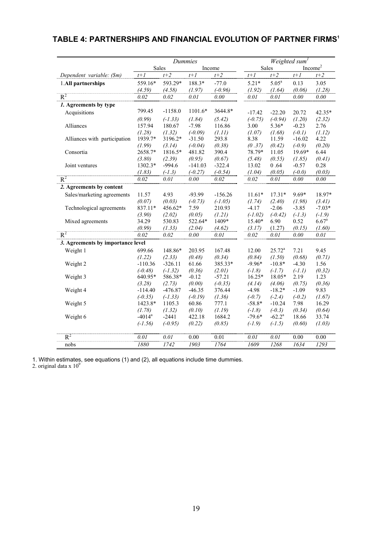|                                   | Dummies   |                 |           |           | Weighted sum <sup>1</sup> |                 |                     |                   |
|-----------------------------------|-----------|-----------------|-----------|-----------|---------------------------|-----------------|---------------------|-------------------|
|                                   |           | Sales<br>Income |           |           | <b>Sales</b>              |                 | Income <sup>2</sup> |                   |
| Dependent variable: (\$m)         | $t+I$     | $t+2$           | $t+I$     | $t+2$     | $t+I$                     | $t+2$           | $t+1$               | $t+2$             |
| 1.All partnerships                | 559.16*   | 593.29*         | 188.3*    | $-77.0$   | $5.21*$                   | $5.05^{\rm a}$  | 0.13                | 3.05              |
|                                   | (4.59)    | (4.58)          | (1.97)    | $(-0.96)$ | (1.92)                    | (1.64)          | (0.06)              | (1.28)            |
| $R^2$                             | 0.02      | 0.02            | 0.01      | 0.00      | 0.01                      | 0.01            | 0.00                | 0.00              |
| 1. Agreements by type             |           |                 |           |           |                           |                 |                     |                   |
| Acquisitions                      | 799.45    | $-1158.0$       | 1101.6*   | 3644.8*   | $-17.42$                  | $-22.20$        | 20.72               | 42.35*            |
|                                   | (0.99)    | $(-1.33)$       | (1.84)    | (5.42)    | $(-0.75)$                 | $(-0.94)$       | (1.20)              | (2.32)            |
| Alliances                         | 157.94    | 180.67          | $-7.98$   | 116.86    | 3.00                      | $5.36*$         | $-0.23$             | 2.76              |
|                                   | (1.28)    | (1.32)          | $(-0.09)$ | (1.11)    | (1.07)                    | (1.68)          | $(-0.1)$            | (1.12)            |
| Alliances with participation      | 1939.7*   | 3196.2*         | $-31.50$  | 293.8     | 8.38                      | 11.59           | $-16.02$            | 4.22              |
|                                   | (1.99)    | (3.14)          | $(-0.04)$ | (0.38)    | (0.37)                    | (0.42)          | $(-0.9)$            | (0.20)            |
| Consortia                         | 2658.7*   | 1816.5*         | 481.82    | 390.4     | 78.79*                    | 11.05           | 19.69*              | 6.44              |
|                                   | (3.80)    | (2.39)          | (0.95)    | (0.67)    | (5.48)                    | (0.55)          | (1.85)              | (0.41)            |
| Joint ventures                    | 1302.3*   | $-994.6$        | $-141.03$ | $-322.4$  | 13.02                     | 0.64            | $-0.57$             | 0.28              |
|                                   | (1.83)    | $(-1.3)$        | $(-0.27)$ | $(-0.54)$ | (1.04)                    | (0.05)          | $(-0.0)$            | (0.03)            |
| $R^2$                             | 0.02      | 0.01            | 0.00      | 0.02      | 0.02                      | 0.01            | 0.00                | 0.00              |
| 2. Agreements by content          |           |                 |           |           |                           |                 |                     |                   |
| Sales/marketing agreements        | 11.57     | 4.93            | $-93.99$  | $-156.26$ | $11.61*$                  | $17.31*$        | $9.69*$             | 18.97*            |
|                                   | (0.07)    | (0.03)          | $(-0.73)$ | $(-1.05)$ | (1.74)                    | (2.40)          | (1.98)              | (3.41)            |
| Technological agreements          | 837.11*   | 456.62*         | 7.59      | 210.93    | $-4.17$                   | $-2.06$         | $-3.85$             | $-7.03*$          |
|                                   | (3.90)    | (2.02)          | (0.05)    | (1.21)    | $(-1.02)$                 | $(-0.42)$       | $(-1.3)$            | $(-1.9)$          |
| Mixed agreements                  | 34.29     | 530.83          | 522.64*   | 1409*     | $15.40*$                  | 6.90            | 0.52                | 6.67 <sup>a</sup> |
|                                   | (0.99)    | (1.33)          | (2.04)    | (4.62)    | (3.17)                    | (1.27)          | (0.15)              | (1.60)            |
| $R^2$                             | 0.02      | 0.02            | 0.00      | 0.01      | 0.02                      | 0.01            | 0.00                | 0.01              |
| 3. Agreements by importance level |           |                 |           |           |                           |                 |                     |                   |
| Weight 1                          | 699.66    | 148.86*         | 203.95    | 167.48    | 12.00                     | $25.72^{\rm a}$ | 7.21                | 9.45              |
|                                   | (1.22)    | (2.33)          | (0.48)    | (0.34)    | (0.84)                    | (1.50)          | (0.68)              | (0.71)            |
| Weight 2                          | $-110.36$ | $-326.11$       | 61.66     | 385.33*   | $-9.96*$                  | $-10.8*$        | $-4.30$             | 1.56              |
|                                   | $(-0.48)$ | $(-1.32)$       | (0.36)    | (2.01)    | $(-1.8)$                  | $(-1.7)$        | $(-1.1)$            | (0.32)            |
| Weight 3                          | 640.95*   | 586.38*         | $-0.12$   | $-57.21$  | $16.25*$                  | 18.05*          | 2.19                | 1.23              |
|                                   | (3.28)    | (2.73)          | (0.00)    | $(-0.35)$ | (4.14)                    | (4.06)          | (0.75)              | (0.36)            |
| Weight 4                          | $-114.40$ | $-476.87$       | $-46.35$  | 376.44    | $-4.98$                   | $-18.2*$        | $-1.09$             | 9.83              |
|                                   | $(-0.35)$ | $(-1.33)$       | $(-0.19)$ | (1.36)    | $(-0.7)$                  | $(-2.4)$        | $(-0.2)$            | (1.67)            |
| Weight 5                          | 1423.8*   | 1105.3          | 60.86     | 777.1     | $-58.8*$                  | $-10.24$        | 7.98                | 16.29             |
|                                   | (1.78)    | (1.32)          | (0.10)    | (1.19)    | $(-1.8)$                  | $(-0.3)$        | (0.34)              | (0.64)            |
| Weight 6                          | $-4014^a$ | $-2441$         | 422.18    | 1684.2    | $-79.6*$                  | $-62.2^a$       | 18.66               | 33.74             |
|                                   | $(-1.56)$ | $(-0.95)$       | (0.22)    | (0.85)    | $(-1.9)$                  | $(-1.5)$        | (0.60)              | (1.03)            |
| $R^2$                             | 0.01      | $0.01\,$        | 0.00      | 0.01      | 0.01                      | $0.01\,$        | $0.00\,$            | $0.00\,$          |
| nobs                              | 1880      | 1742            | 1903      | 1764      | 1609                      | 1268            | 1634                | 1293              |

## **TABLE 4: PARTNERSHIPS AND FINANCIAL EVOLUTION OF PARTNER FIRMS1**

1. Within estimates, see equations (1) and (2), all equations include time dummies.

2. original data x  $10<sup>9</sup>$